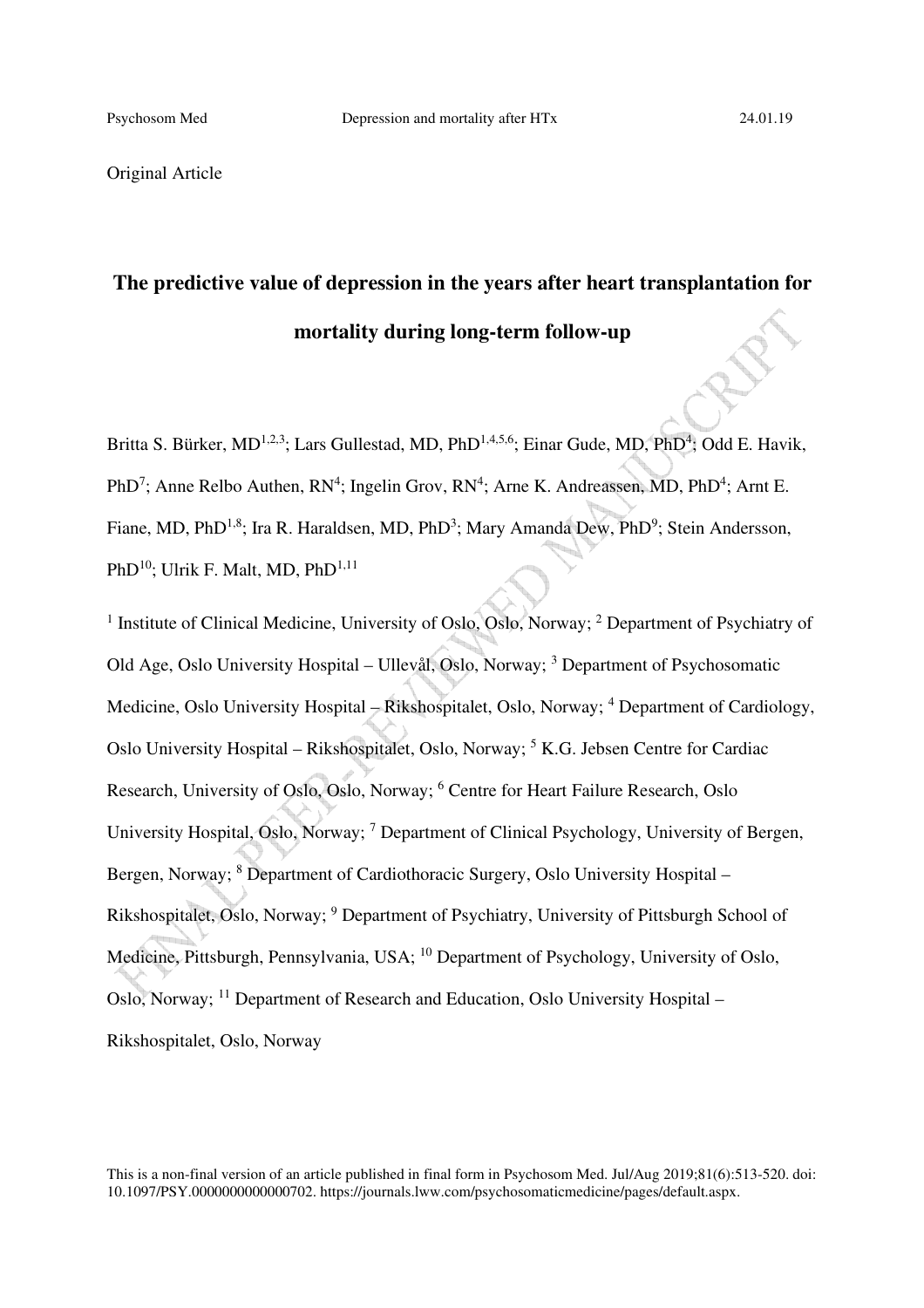Original Article

# **The predictive value of depression in the years after heart transplantation for mortality during long-term follow-up**

Britta S. Bürker, MD<sup>1,2,3</sup>; Lars Gullestad, MD, PhD<sup>1,4,5,6</sup>; Einar Gude, MD, PhD<sup>4</sup>; Odd E. Havik, PhD<sup>7</sup>; Anne Relbo Authen, RN<sup>4</sup>; Ingelin Grov, RN<sup>4</sup>; Arne K. Andreassen, MD, PhD<sup>4</sup>; Arnt E. Fiane, MD, PhD<sup>1,8</sup>; Ira R. Haraldsen, MD, PhD<sup>3</sup>; Mary Amanda Dew, PhD<sup>9</sup>; Stein Andersson, PhD<sup>10</sup>; Ulrik F. Malt, MD, PhD<sup>1,11</sup>

<sup>1</sup> Institute of Clinical Medicine, University of Oslo, Oslo, Norway; <sup>2</sup> Department of Psychiatry of Old Age, Oslo University Hospital - Ullevål, Oslo, Norway; <sup>3</sup> Department of Psychosomatic Medicine, Oslo University Hospital - Rikshospitalet, Oslo, Norway; <sup>4</sup> Department of Cardiology, Oslo University Hospital - Rikshospitalet, Oslo, Norway; <sup>5</sup> K.G. Jebsen Centre for Cardiac Research, University of Oslo, Oslo, Norway; <sup>6</sup> Centre for Heart Failure Research, Oslo University Hospital, Oslo, Norway; <sup>7</sup> Department of Clinical Psychology, University of Bergen, Bergen, Norway; <sup>8</sup> Department of Cardiothoracic Surgery, Oslo University Hospital -Rikshospitalet, Oslo, Norway; <sup>9</sup> Department of Psychiatry, University of Pittsburgh School of Medicine, Pittsburgh, Pennsylvania, USA; <sup>10</sup> Department of Psychology, University of Oslo, Oslo, Norway; <sup>11</sup> Department of Research and Education, Oslo University Hospital – Rikshospitalet, Oslo, Norway

This is a non-final version of an article published in final form in Psychosom Med. Jul/Aug 2019;81(6):513-520. doi: 10.1097/PSY.0000000000000702. https://journals.lww.com/psychosomaticmedicine/pages/default.aspx.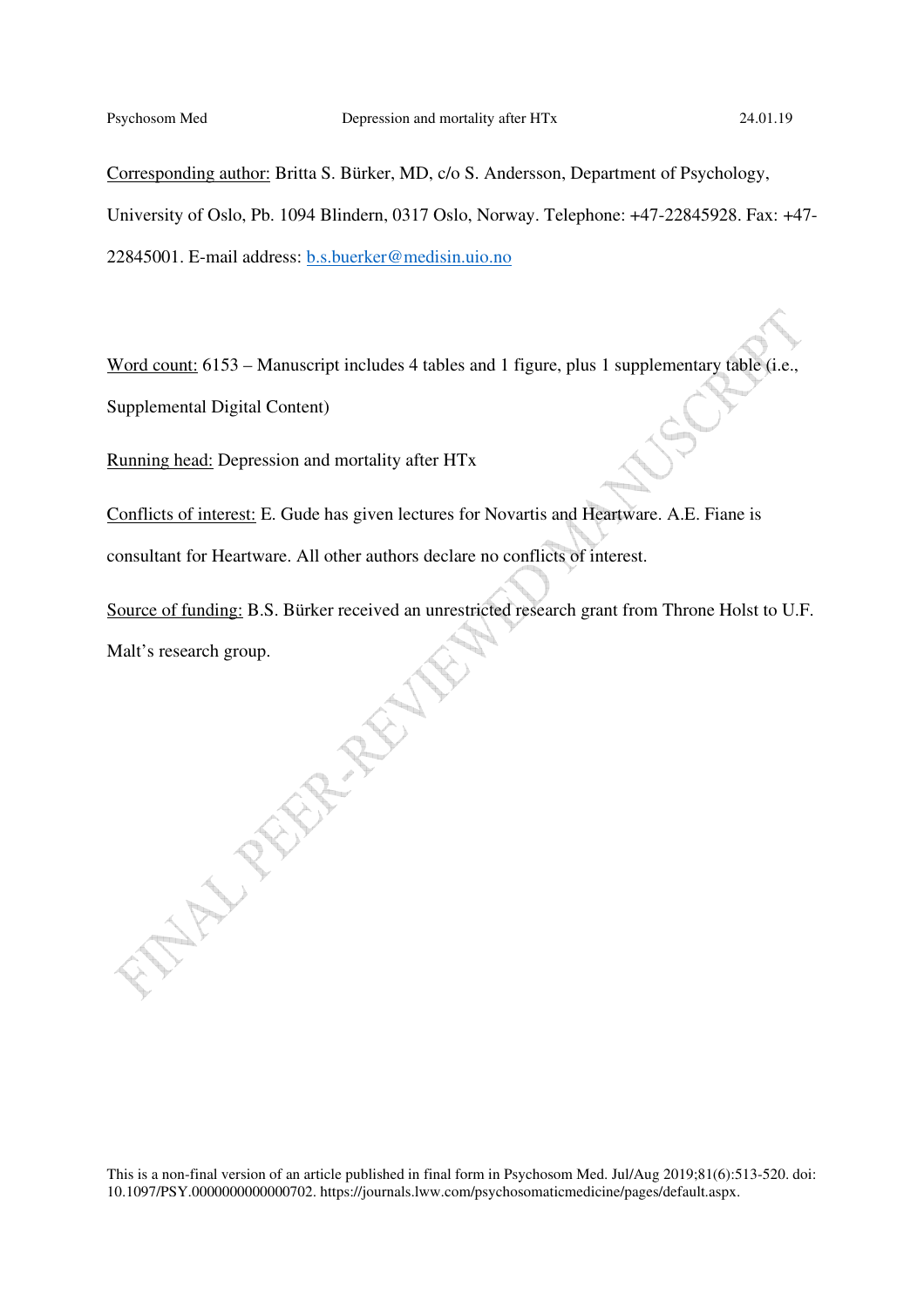Corresponding author: Britta S. Bürker, MD, c/o S. Andersson, Department of Psychology, University of Oslo, Pb. 1094 Blindern, 0317 Oslo, Norway. Telephone: +47-22845928. Fax: +47- 22845001. E-mail address: b.s.buerker@medisin.uio.no

Word count: 6153 – Manuscript includes 4 tables and 1 figure, plus 1 supplementary table (i.e., Supplemental Digital Content)

Running head: Depression and mortality after HTx

Conflicts of interest: E. Gude has given lectures for Novartis and Heartware. A.E. Fiane is consultant for Heartware. All other authors declare no conflicts of interest.

Source of funding: B.S. Bürker received an unrestricted research grant from Throne Holst to U.F. Malt's research group.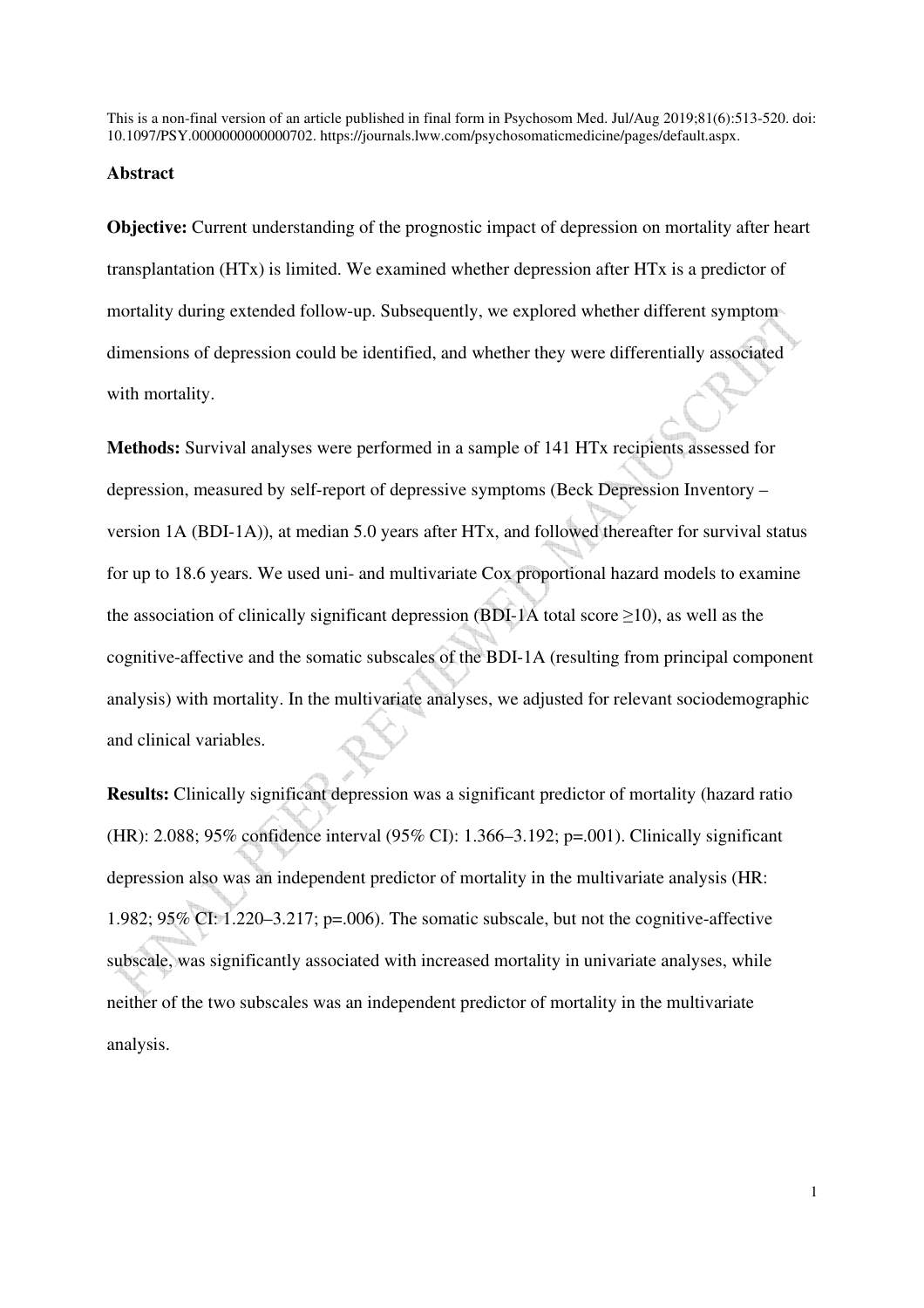#### **Abstract**

**Objective:** Current understanding of the prognostic impact of depression on mortality after heart transplantation (HTx) is limited. We examined whether depression after HTx is a predictor of mortality during extended follow-up. Subsequently, we explored whether different symptom dimensions of depression could be identified, and whether they were differentially associated with mortality.

**Methods:** Survival analyses were performed in a sample of 141 HTx recipients assessed for depression, measured by self-report of depressive symptoms (Beck Depression Inventory – version 1A (BDI-1A)), at median 5.0 years after HTx, and followed thereafter for survival status for up to 18.6 years. We used uni- and multivariate Cox proportional hazard models to examine the association of clinically significant depression (BDI-1A total score  $\geq$ 10), as well as the cognitive-affective and the somatic subscales of the BDI-1A (resulting from principal component analysis) with mortality. In the multivariate analyses, we adjusted for relevant sociodemographic and clinical variables.

**Results:** Clinically significant depression was a significant predictor of mortality (hazard ratio (HR): 2.088; 95% confidence interval (95% CI): 1.366–3.192; p=.001). Clinically significant depression also was an independent predictor of mortality in the multivariate analysis (HR: 1.982; 95% CI: 1.220–3.217; p=.006). The somatic subscale, but not the cognitive-affective subscale, was significantly associated with increased mortality in univariate analyses, while neither of the two subscales was an independent predictor of mortality in the multivariate analysis.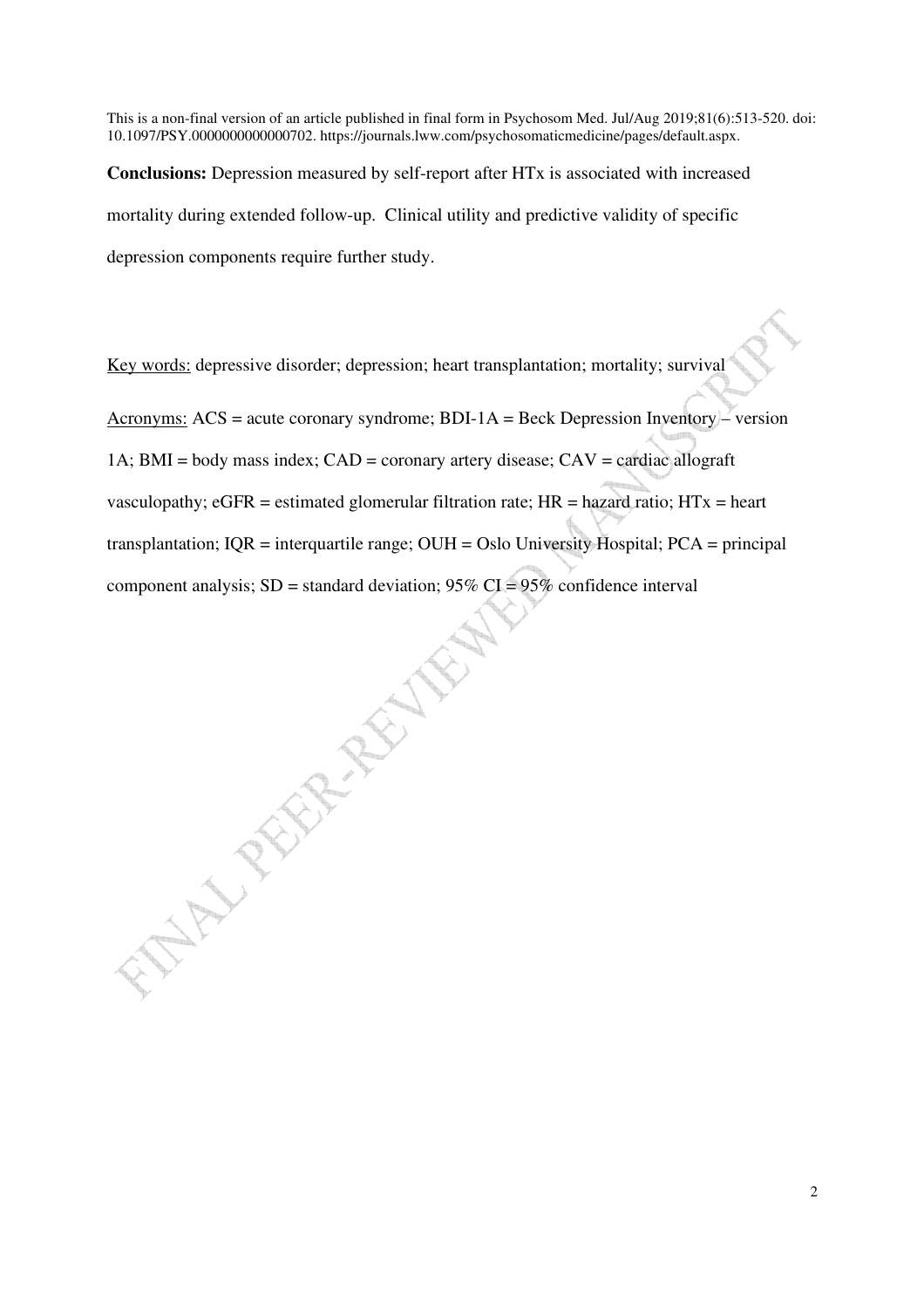**Conclusions:** Depression measured by self-report after HTx is associated with increased mortality during extended follow-up. Clinical utility and predictive validity of specific depression components require further study.

Key words: depressive disorder; depression; heart transplantation; mortality; survival

Acronyms:  $ACS = acute\,\,coronary\,\,syndrome$ ;  $BDI-1A = Beck\,\,Depression\,\,Invention$ 1A;  $BMI = body$  mass index;  $CAD = coronary$  artery disease;  $CAV = cardiac$  allograft vasculopathy;  $eGFR =$  estimated glomerular filtration rate;  $HR =$  hazard ratio;  $HTx =$  heart transplantation; IQR = interquartile range; OUH = Oslo University Hospital; PCA = principal component analysis;  $SD =$  standard deviation;  $95\%$  CI =  $95\%$  confidence interval **MANURALLY**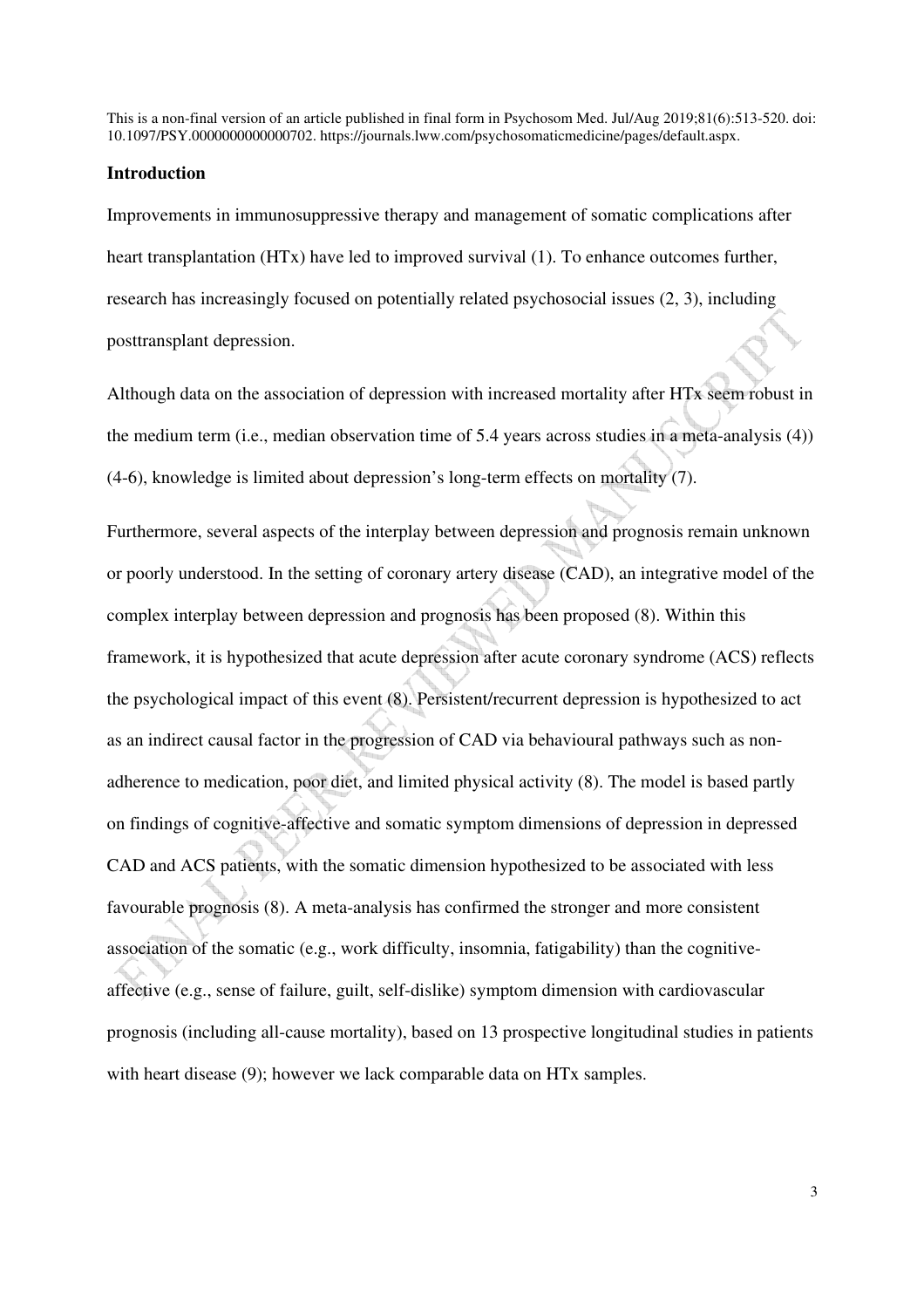#### **Introduction**

Improvements in immunosuppressive therapy and management of somatic complications after heart transplantation (HTx) have led to improved survival (1). To enhance outcomes further, research has increasingly focused on potentially related psychosocial issues (2, 3), including posttransplant depression.

Although data on the association of depression with increased mortality after HTx seem robust in the medium term (i.e., median observation time of 5.4 years across studies in a meta-analysis (4)) (4-6), knowledge is limited about depression's long-term effects on mortality (7).

Furthermore, several aspects of the interplay between depression and prognosis remain unknown or poorly understood. In the setting of coronary artery disease (CAD), an integrative model of the complex interplay between depression and prognosis has been proposed (8). Within this framework, it is hypothesized that acute depression after acute coronary syndrome (ACS) reflects the psychological impact of this event (8). Persistent/recurrent depression is hypothesized to act as an indirect causal factor in the progression of CAD via behavioural pathways such as nonadherence to medication, poor diet, and limited physical activity (8). The model is based partly on findings of cognitive-affective and somatic symptom dimensions of depression in depressed CAD and ACS patients, with the somatic dimension hypothesized to be associated with less favourable prognosis (8). A meta-analysis has confirmed the stronger and more consistent association of the somatic (e.g., work difficulty, insomnia, fatigability) than the cognitiveaffective (e.g., sense of failure, guilt, self-dislike) symptom dimension with cardiovascular prognosis (including all-cause mortality), based on 13 prospective longitudinal studies in patients with heart disease (9); however we lack comparable data on HTx samples.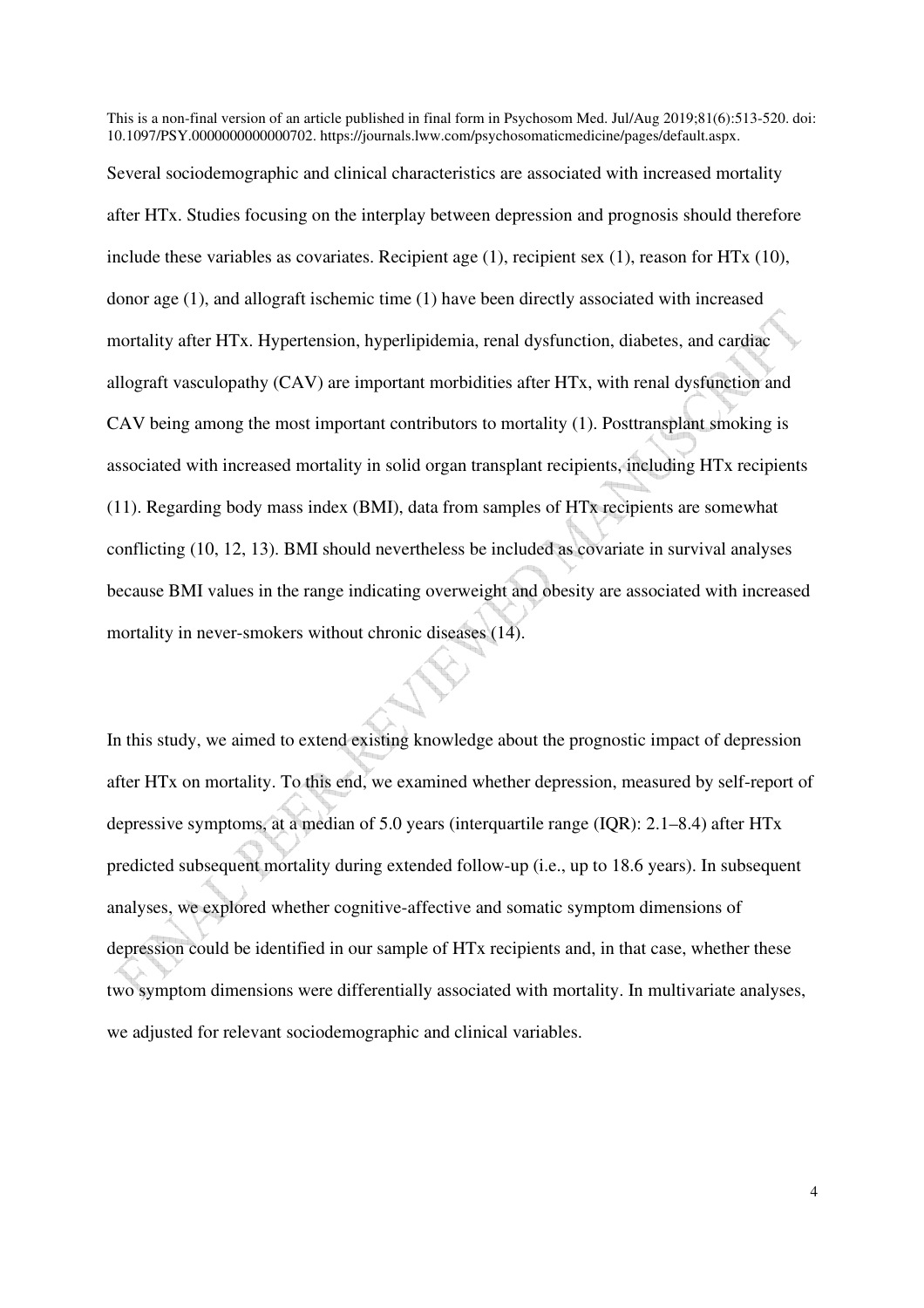Several sociodemographic and clinical characteristics are associated with increased mortality after HTx. Studies focusing on the interplay between depression and prognosis should therefore include these variables as covariates. Recipient age  $(1)$ , recipient sex  $(1)$ , reason for HTx  $(10)$ , donor age (1), and allograft ischemic time (1) have been directly associated with increased mortality after HTx. Hypertension, hyperlipidemia, renal dysfunction, diabetes, and cardiac allograft vasculopathy (CAV) are important morbidities after HTx, with renal dysfunction and CAV being among the most important contributors to mortality (1). Posttransplant smoking is associated with increased mortality in solid organ transplant recipients, including HTx recipients (11). Regarding body mass index (BMI), data from samples of HTx recipients are somewhat conflicting (10, 12, 13). BMI should nevertheless be included as covariate in survival analyses because BMI values in the range indicating overweight and obesity are associated with increased mortality in never-smokers without chronic diseases (14).

In this study, we aimed to extend existing knowledge about the prognostic impact of depression after HTx on mortality. To this end, we examined whether depression, measured by self-report of depressive symptoms, at a median of 5.0 years (interquartile range (IQR): 2.1–8.4) after HTx predicted subsequent mortality during extended follow-up (i.e., up to 18.6 years). In subsequent analyses, we explored whether cognitive-affective and somatic symptom dimensions of depression could be identified in our sample of HTx recipients and, in that case, whether these two symptom dimensions were differentially associated with mortality. In multivariate analyses, we adjusted for relevant sociodemographic and clinical variables.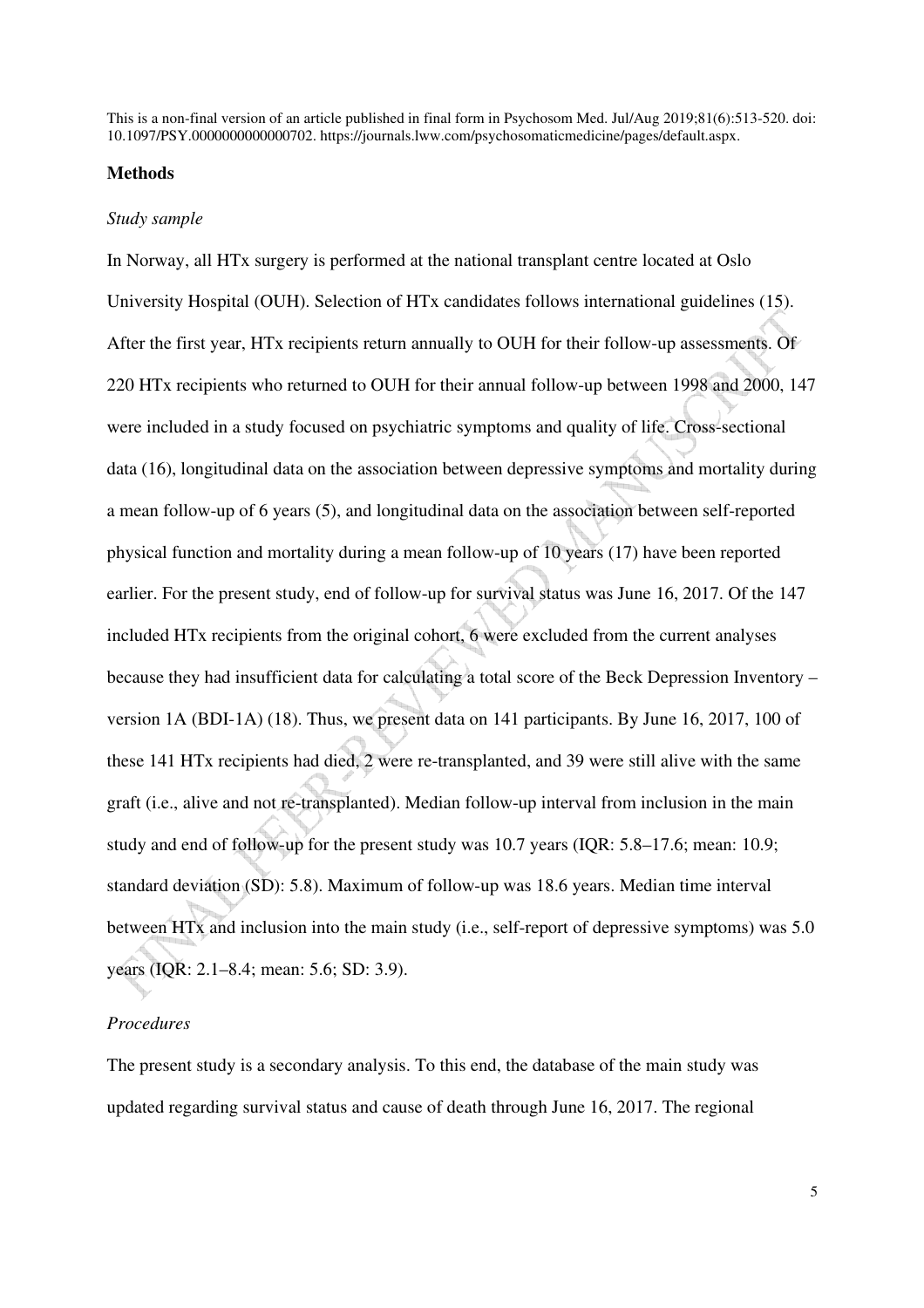#### **Methods**

#### *Study sample*

In Norway, all HTx surgery is performed at the national transplant centre located at Oslo University Hospital (OUH). Selection of HTx candidates follows international guidelines (15). After the first year, HTx recipients return annually to OUH for their follow-up assessments. Of 220 HTx recipients who returned to OUH for their annual follow-up between 1998 and 2000, 147 were included in a study focused on psychiatric symptoms and quality of life. Cross-sectional data (16), longitudinal data on the association between depressive symptoms and mortality during a mean follow-up of 6 years (5), and longitudinal data on the association between self-reported physical function and mortality during a mean follow-up of 10 years (17) have been reported earlier. For the present study, end of follow-up for survival status was June 16, 2017. Of the 147 included HTx recipients from the original cohort, 6 were excluded from the current analyses because they had insufficient data for calculating a total score of the Beck Depression Inventory – version 1A (BDI-1A) (18). Thus, we present data on 141 participants. By June 16, 2017, 100 of these 141 HTx recipients had died, 2 were re-transplanted, and 39 were still alive with the same graft (i.e., alive and not re-transplanted). Median follow-up interval from inclusion in the main study and end of follow-up for the present study was 10.7 years (IQR: 5.8–17.6; mean: 10.9; standard deviation (SD): 5.8). Maximum of follow-up was 18.6 years. Median time interval between HTx and inclusion into the main study (i.e., self-report of depressive symptoms) was 5.0 years (IQR: 2.1–8.4; mean: 5.6; SD: 3.9).

## *Procedures*

The present study is a secondary analysis. To this end, the database of the main study was updated regarding survival status and cause of death through June 16, 2017. The regional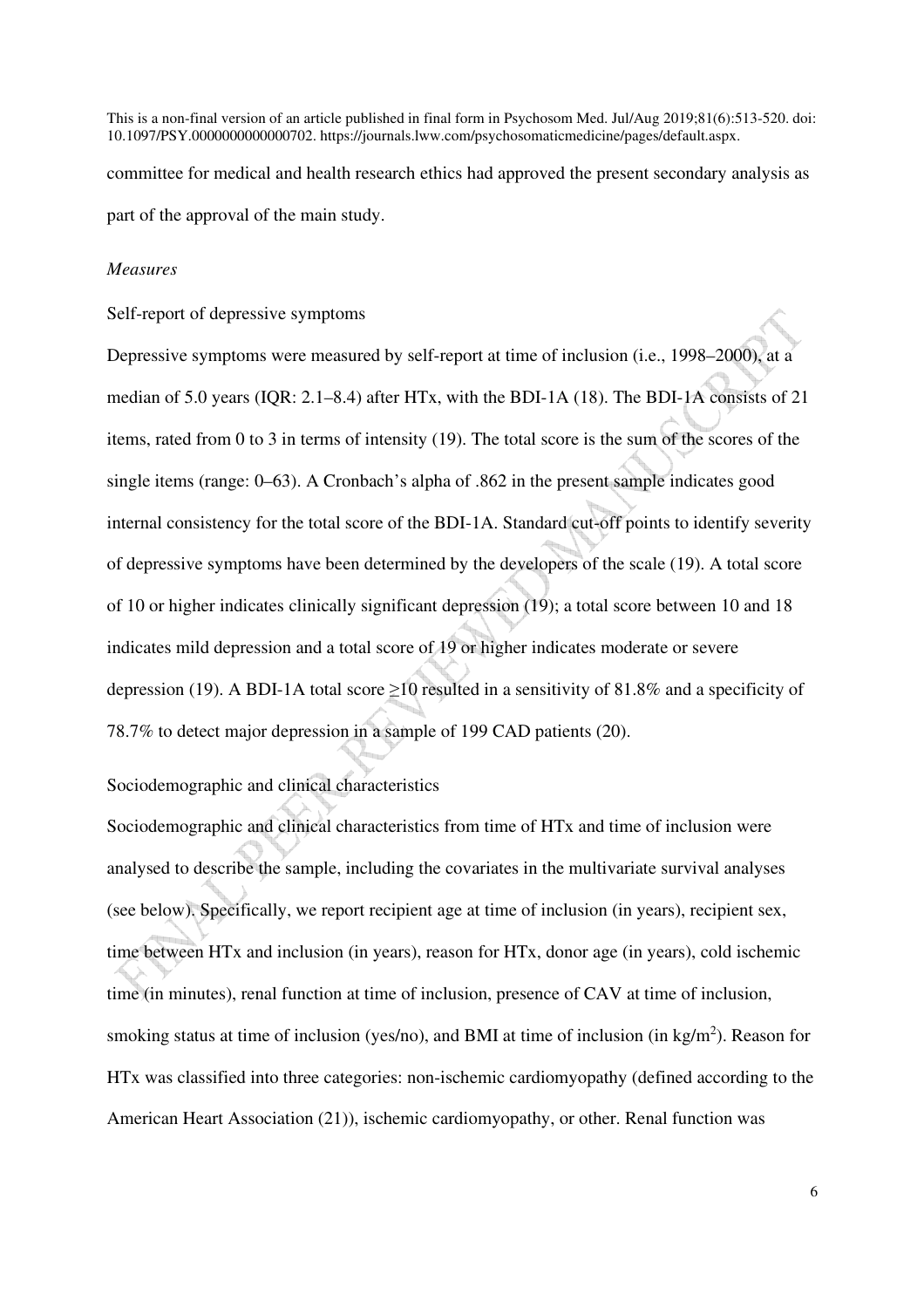committee for medical and health research ethics had approved the present secondary analysis as part of the approval of the main study.

#### *Measures*

Self-report of depressive symptoms

Depressive symptoms were measured by self-report at time of inclusion (i.e., 1998–2000), at a median of 5.0 years (IQR: 2.1–8.4) after HTx, with the BDI-1A (18). The BDI-1A consists of 21 items, rated from 0 to 3 in terms of intensity (19). The total score is the sum of the scores of the single items (range: 0–63). A Cronbach's alpha of .862 in the present sample indicates good internal consistency for the total score of the BDI-1A. Standard cut-off points to identify severity of depressive symptoms have been determined by the developers of the scale (19). A total score of 10 or higher indicates clinically significant depression (19); a total score between 10 and 18 indicates mild depression and a total score of 19 or higher indicates moderate or severe depression (19). A BDI-1A total score ≥10 resulted in a sensitivity of 81.8% and a specificity of 78.7% to detect major depression in a sample of 199 CAD patients (20).

Sociodemographic and clinical characteristics

Sociodemographic and clinical characteristics from time of HTx and time of inclusion were analysed to describe the sample, including the covariates in the multivariate survival analyses (see below). Specifically, we report recipient age at time of inclusion (in years), recipient sex, time between HTx and inclusion (in years), reason for HTx, donor age (in years), cold ischemic time (in minutes), renal function at time of inclusion, presence of CAV at time of inclusion, smoking status at time of inclusion (yes/no), and BMI at time of inclusion (in kg/m<sup>2</sup>). Reason for HTx was classified into three categories: non-ischemic cardiomyopathy (defined according to the American Heart Association (21)), ischemic cardiomyopathy, or other. Renal function was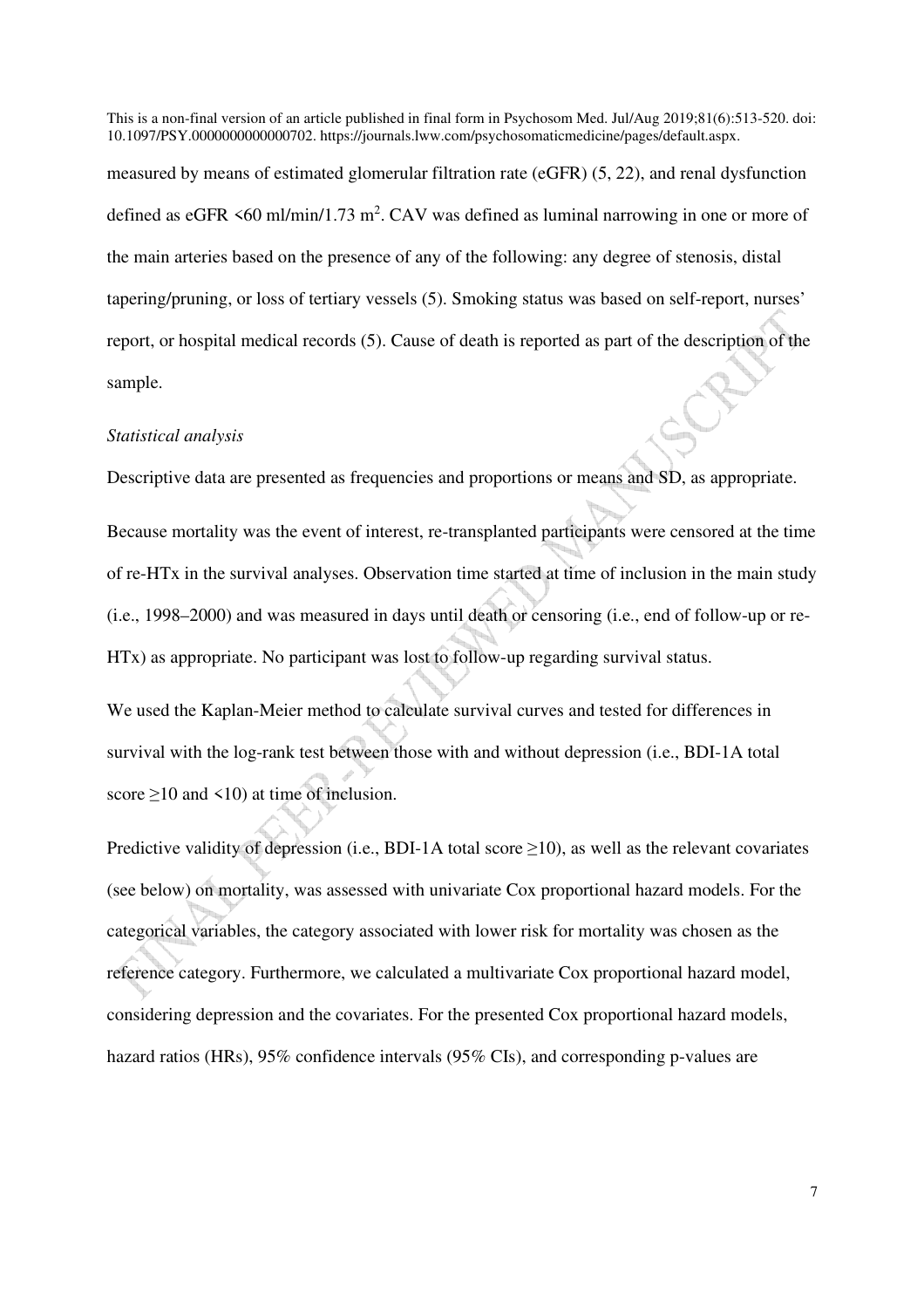measured by means of estimated glomerular filtration rate (eGFR) (5, 22), and renal dysfunction defined as eGFR  $\leq 60$  ml/min/1.73 m<sup>2</sup>. CAV was defined as luminal narrowing in one or more of the main arteries based on the presence of any of the following: any degree of stenosis, distal tapering/pruning, or loss of tertiary vessels (5). Smoking status was based on self-report, nurses' report, or hospital medical records (5). Cause of death is reported as part of the description of the sample.

### *Statistical analysis*

Descriptive data are presented as frequencies and proportions or means and SD, as appropriate.

Because mortality was the event of interest, re-transplanted participants were censored at the time of re-HTx in the survival analyses. Observation time started at time of inclusion in the main study (i.e., 1998–2000) and was measured in days until death or censoring (i.e., end of follow-up or re-HTx) as appropriate. No participant was lost to follow-up regarding survival status.

We used the Kaplan-Meier method to calculate survival curves and tested for differences in survival with the log-rank test between those with and without depression (i.e., BDI-1A total score >10 and <10) at time of inclusion.

Predictive validity of depression (i.e., BDI-1A total score  $\geq$ 10), as well as the relevant covariates (see below) on mortality, was assessed with univariate Cox proportional hazard models. For the categorical variables, the category associated with lower risk for mortality was chosen as the reference category. Furthermore, we calculated a multivariate Cox proportional hazard model, considering depression and the covariates. For the presented Cox proportional hazard models, hazard ratios (HRs), 95% confidence intervals (95% CIs), and corresponding p-values are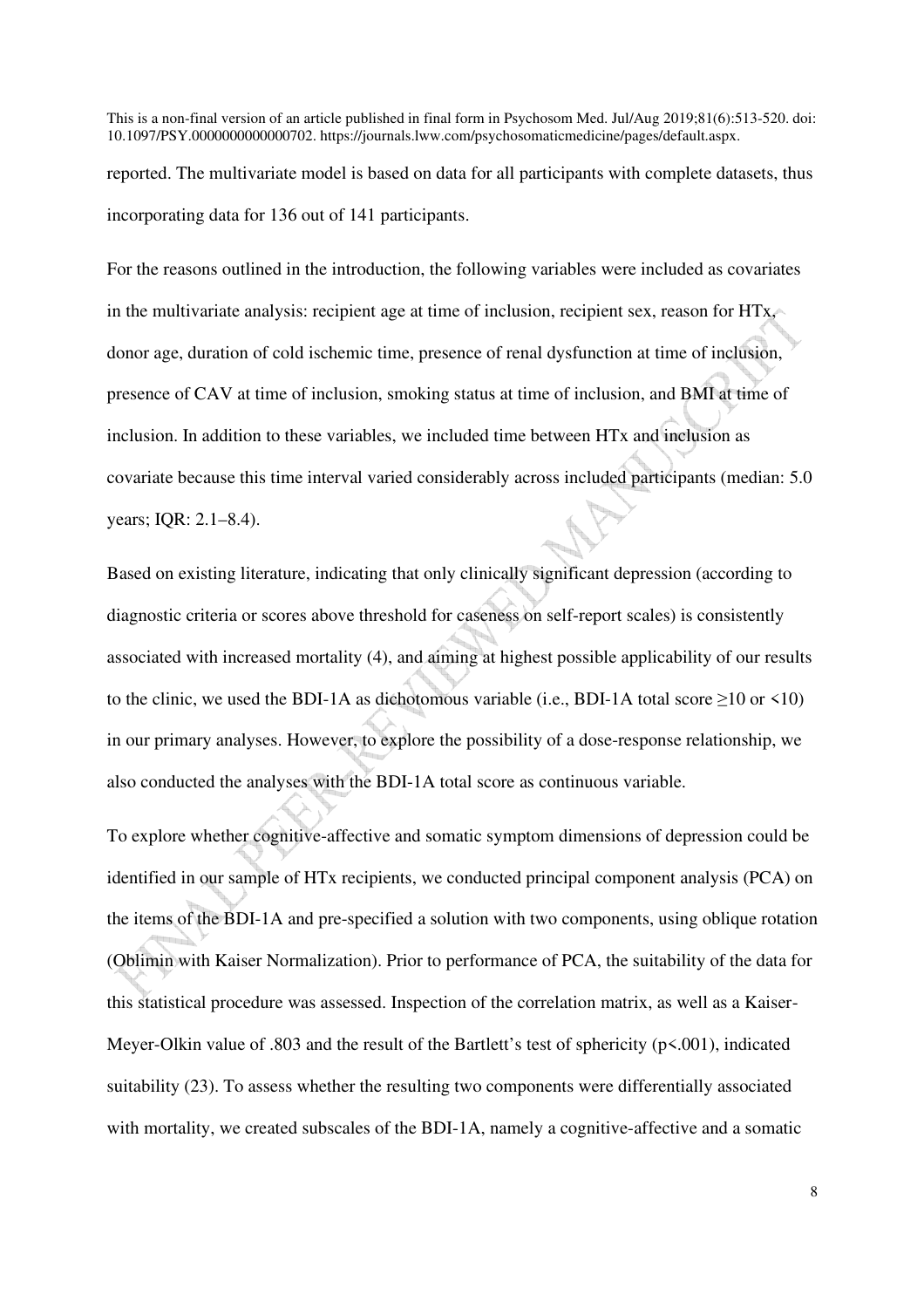reported. The multivariate model is based on data for all participants with complete datasets, thus incorporating data for 136 out of 141 participants.

For the reasons outlined in the introduction, the following variables were included as covariates in the multivariate analysis: recipient age at time of inclusion, recipient sex, reason for HTx, donor age, duration of cold ischemic time, presence of renal dysfunction at time of inclusion, presence of CAV at time of inclusion, smoking status at time of inclusion, and BMI at time of inclusion. In addition to these variables, we included time between HTx and inclusion as covariate because this time interval varied considerably across included participants (median: 5.0 years; IQR: 2.1–8.4).

Based on existing literature, indicating that only clinically significant depression (according to diagnostic criteria or scores above threshold for caseness on self-report scales) is consistently associated with increased mortality (4), and aiming at highest possible applicability of our results to the clinic, we used the BDI-1A as dichotomous variable (i.e., BDI-1A total score  $\geq$ 10 or <10) in our primary analyses. However, to explore the possibility of a dose-response relationship, we also conducted the analyses with the BDI-1A total score as continuous variable.

To explore whether cognitive-affective and somatic symptom dimensions of depression could be identified in our sample of HTx recipients, we conducted principal component analysis (PCA) on the items of the BDI-1A and pre-specified a solution with two components, using oblique rotation (Oblimin with Kaiser Normalization). Prior to performance of PCA, the suitability of the data for this statistical procedure was assessed. Inspection of the correlation matrix, as well as a Kaiser-Meyer-Olkin value of .803 and the result of the Bartlett's test of sphericity (p<.001), indicated suitability (23). To assess whether the resulting two components were differentially associated with mortality, we created subscales of the BDI-1A, namely a cognitive-affective and a somatic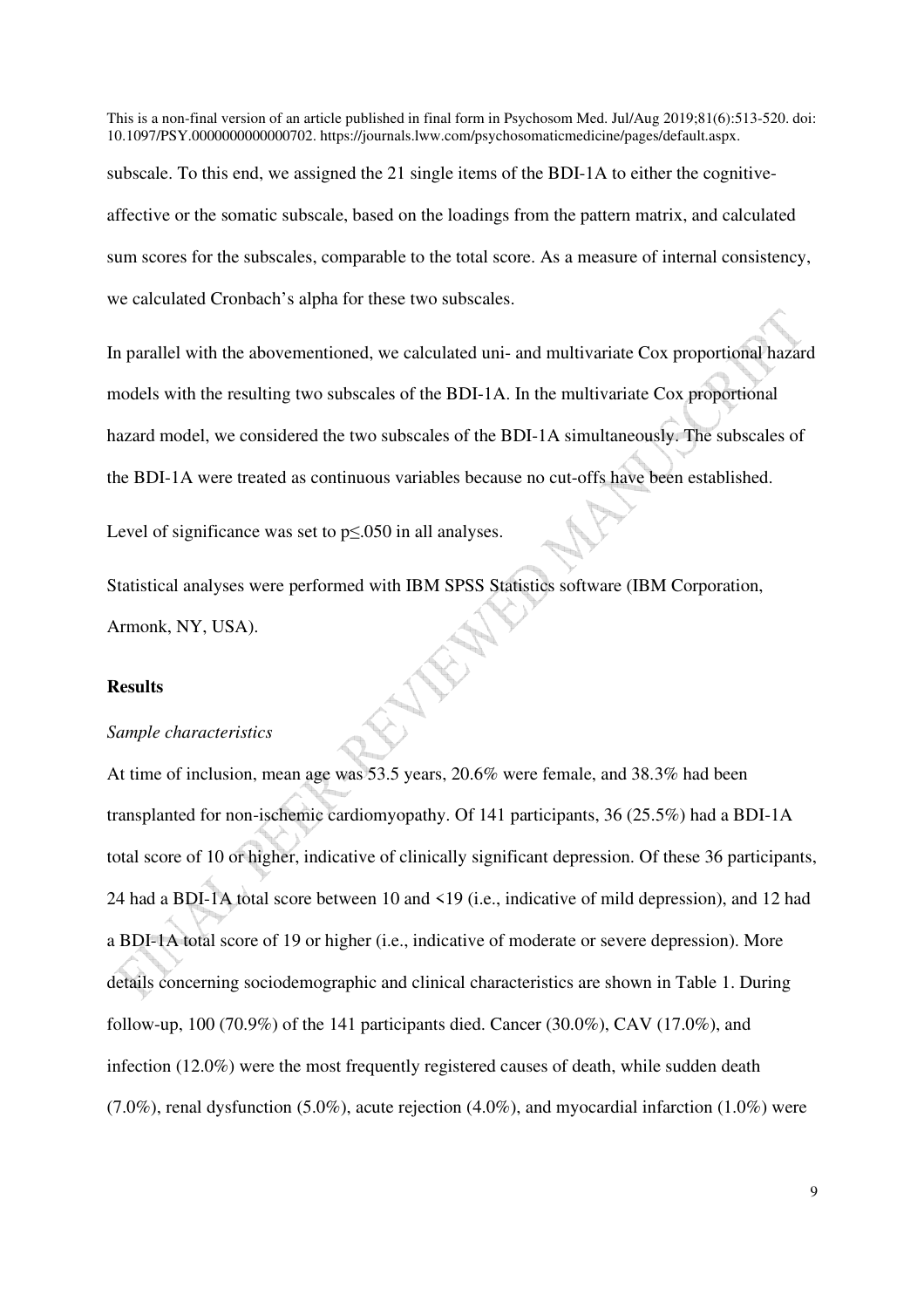subscale. To this end, we assigned the 21 single items of the BDI-1A to either the cognitiveaffective or the somatic subscale, based on the loadings from the pattern matrix, and calculated sum scores for the subscales, comparable to the total score. As a measure of internal consistency, we calculated Cronbach's alpha for these two subscales.

In parallel with the abovementioned, we calculated uni- and multivariate Cox proportional hazard models with the resulting two subscales of the BDI-1A. In the multivariate Cox proportional hazard model, we considered the two subscales of the BDI-1A simultaneously. The subscales of the BDI-1A were treated as continuous variables because no cut-offs have been established.

Level of significance was set to p≤.050 in all analyses.

Statistical analyses were performed with IBM SPSS Statistics software (IBM Corporation, Armonk, NY, USA).

## **Results**

#### *Sample characteristics*

At time of inclusion, mean age was 53.5 years, 20.6% were female, and 38.3% had been transplanted for non-ischemic cardiomyopathy. Of 141 participants, 36 (25.5%) had a BDI-1A total score of 10 or higher, indicative of clinically significant depression. Of these 36 participants, 24 had a BDI-1A total score between 10 and <19 (i.e., indicative of mild depression), and 12 had a BDI-1A total score of 19 or higher (i.e., indicative of moderate or severe depression). More details concerning sociodemographic and clinical characteristics are shown in Table 1. During follow-up,  $100 (70.9%)$  of the 141 participants died. Cancer  $(30.0%)$ , CAV  $(17.0%)$ , and infection (12.0%) were the most frequently registered causes of death, while sudden death (7.0%), renal dysfunction (5.0%), acute rejection (4.0%), and myocardial infarction (1.0%) were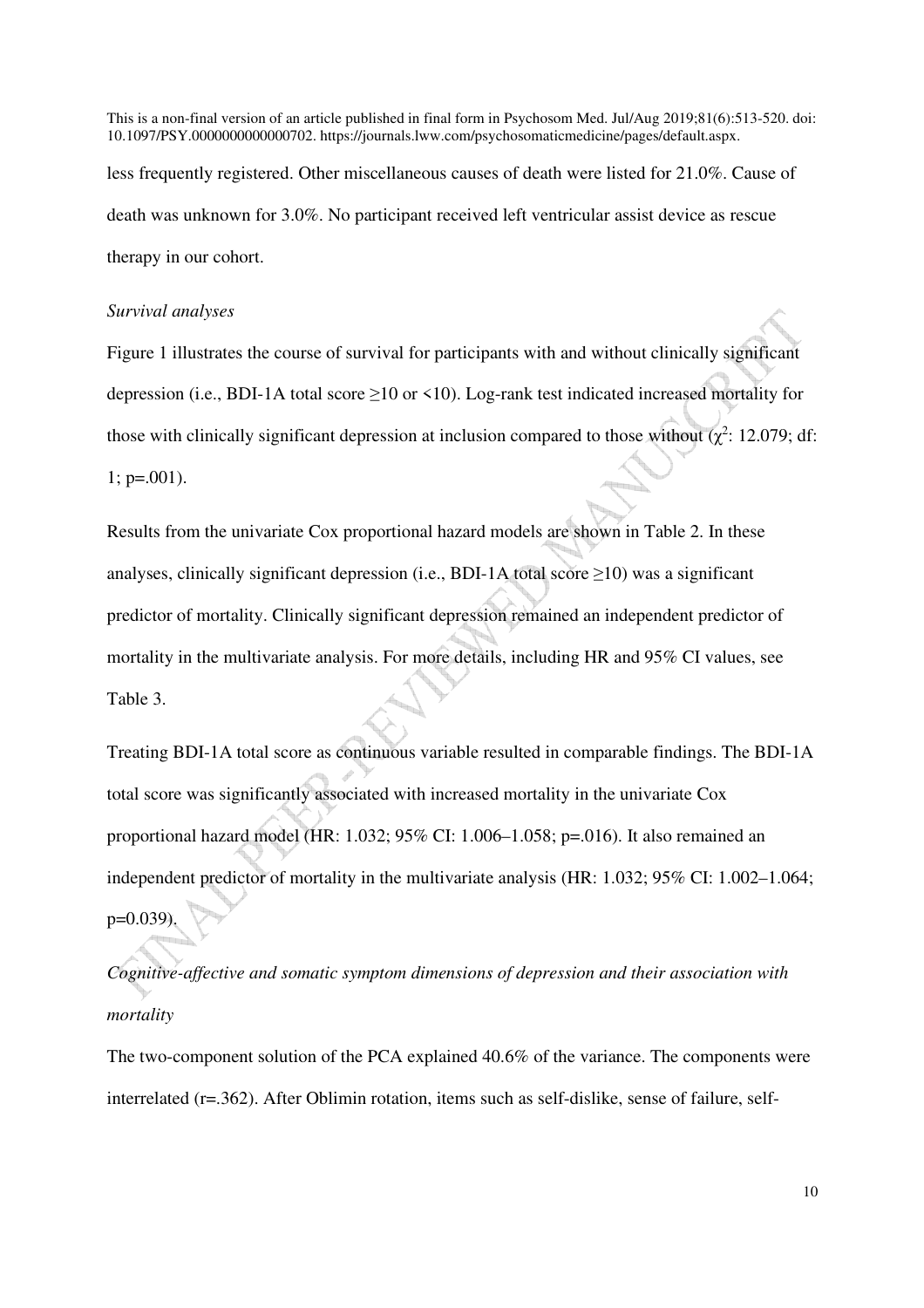This is a non-final version of an article published in final form in Psychosom Med. Jul/Aug 2019;81(6):513-520. doi: 10.1097/PSY.0000000000000702. https://journals.lww.com/psychosomaticmedicine/pages/default.aspx. less frequently registered. Other miscellaneous causes of death were listed for 21.0%. Cause of death was unknown for 3.0%. No participant received left ventricular assist device as rescue

therapy in our cohort.

#### *Survival analyses*

Figure 1 illustrates the course of survival for participants with and without clinically significant depression (i.e., BDI-1A total score ≥10 or <10). Log-rank test indicated increased mortality for those with clinically significant depression at inclusion compared to those without  $(\chi^2$ : 12.079; df:  $1$ ; p=.001).

Results from the univariate Cox proportional hazard models are shown in Table 2. In these analyses, clinically significant depression (i.e., BDI-1A total score  $\geq$ 10) was a significant predictor of mortality. Clinically significant depression remained an independent predictor of mortality in the multivariate analysis. For more details, including HR and 95% CI values, see Table 3.

Treating BDI-1A total score as continuous variable resulted in comparable findings. The BDI-1A total score was significantly associated with increased mortality in the univariate Cox proportional hazard model (HR: 1.032; 95% CI: 1.006–1.058; p=.016). It also remained an independent predictor of mortality in the multivariate analysis (HR: 1.032; 95% CI: 1.002–1.064;  $p=0.039$ 

*Cognitive-affective and somatic symptom dimensions of depression and their association with mortality* 

The two-component solution of the PCA explained 40.6% of the variance. The components were interrelated (r=.362). After Oblimin rotation, items such as self-dislike, sense of failure, self-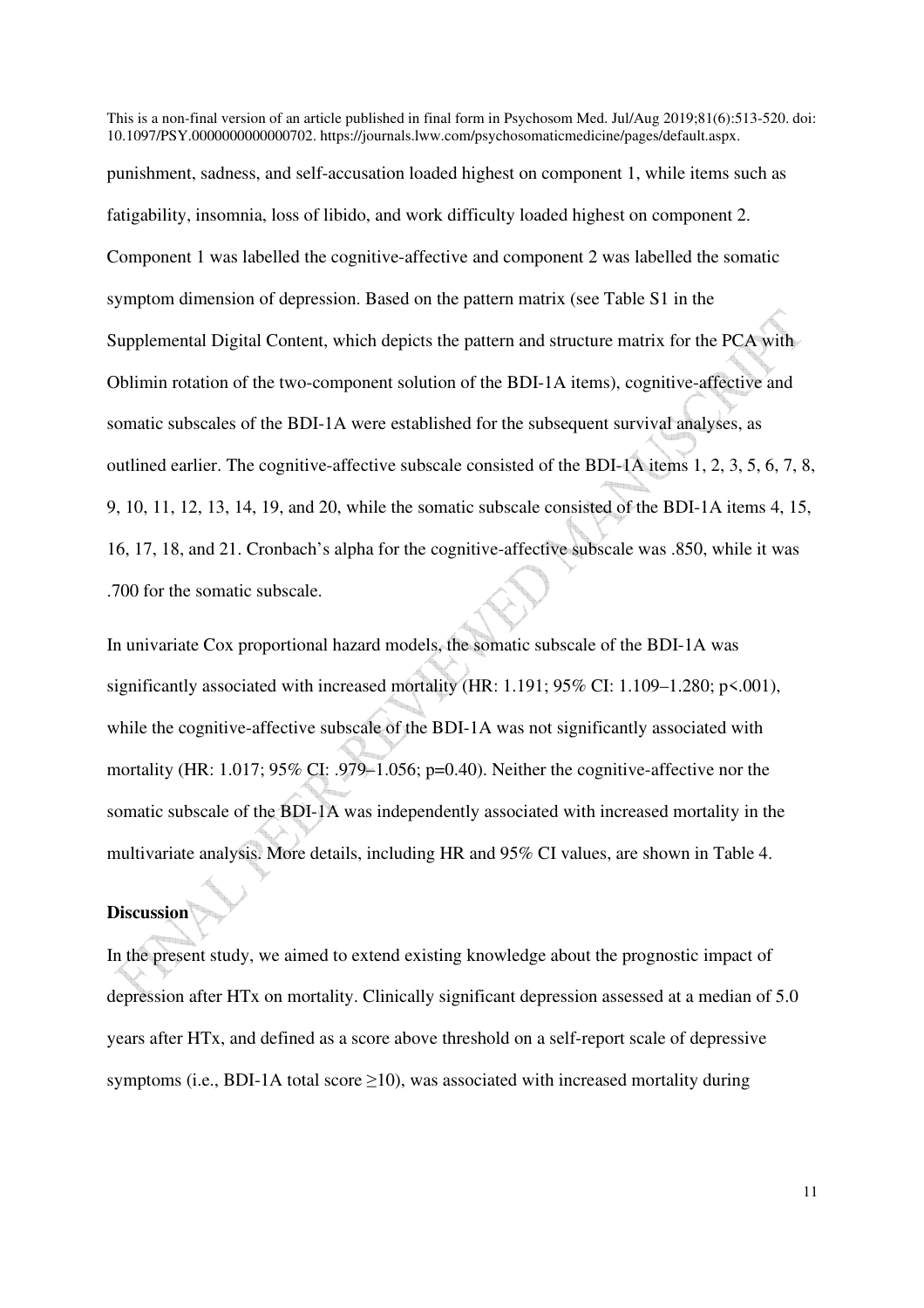punishment, sadness, and self-accusation loaded highest on component 1, while items such as fatigability, insomnia, loss of libido, and work difficulty loaded highest on component 2. Component 1 was labelled the cognitive-affective and component 2 was labelled the somatic symptom dimension of depression. Based on the pattern matrix (see Table S1 in the Supplemental Digital Content, which depicts the pattern and structure matrix for the PCA with Oblimin rotation of the two-component solution of the BDI-1A items), cognitive-affective and somatic subscales of the BDI-1A were established for the subsequent survival analyses, as outlined earlier. The cognitive-affective subscale consisted of the BDI-1A items 1, 2, 3, 5, 6, 7, 8, 9, 10, 11, 12, 13, 14, 19, and 20, while the somatic subscale consisted of the BDI-1A items 4, 15, 16, 17, 18, and 21. Cronbach's alpha for the cognitive-affective subscale was .850, while it was .700 for the somatic subscale.

In univariate Cox proportional hazard models, the somatic subscale of the BDI-1A was significantly associated with increased mortality (HR: 1.191; 95% CI: 1.109-1.280; p <. 001), while the cognitive-affective subscale of the BDI-1A was not significantly associated with mortality (HR: 1.017; 95% CI: .979–1.056; p=0.40). Neither the cognitive-affective nor the somatic subscale of the BDI-1A was independently associated with increased mortality in the multivariate analysis. More details, including HR and 95% CI values, are shown in Table 4.

## **Discussion**

In the present study, we aimed to extend existing knowledge about the prognostic impact of depression after HTx on mortality. Clinically significant depression assessed at a median of 5.0 years after HTx, and defined as a score above threshold on a self-report scale of depressive symptoms (i.e., BDI-1A total score  $\geq$ 10), was associated with increased mortality during

11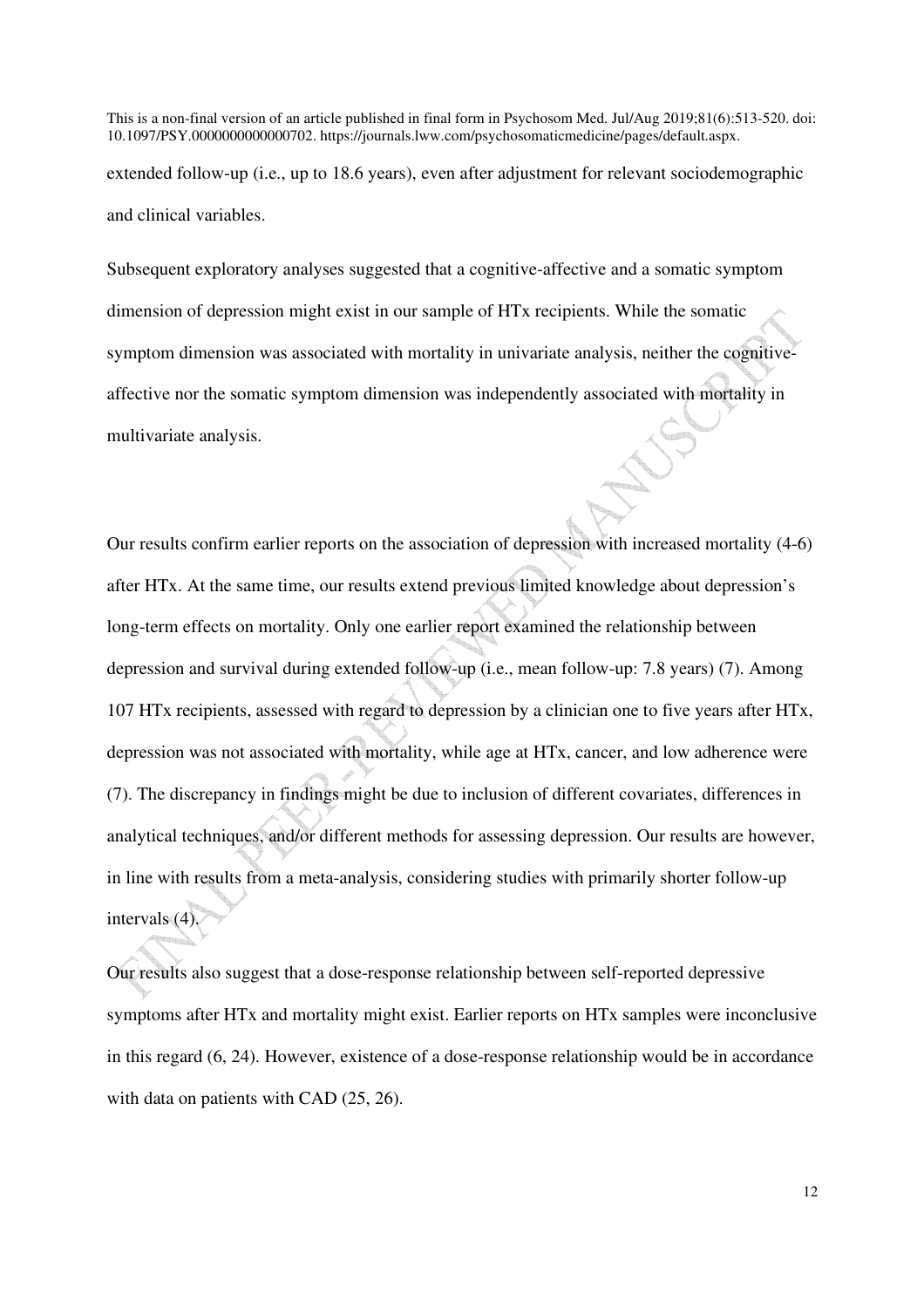This is a non-final version of an article published in final form in Psychosom Med. Jul/Aug 2019;81(6):513-520. doi: 10.1097/PSY.0000000000000702. https://journals.lww.com/psychosomaticmedicine/pages/default.aspx. extended follow-up (i.e., up to 18.6 years), even after adjustment for relevant sociodemographic and clinical variables.

Subsequent exploratory analyses suggested that a cognitive-affective and a somatic symptom dimension of depression might exist in our sample of HTx recipients. While the somatic symptom dimension was associated with mortality in univariate analysis, neither the cognitiveaffective nor the somatic symptom dimension was independently associated with mortality in multivariate analysis.

Our results confirm earlier reports on the association of depression with increased mortality (4-6) after HTx. At the same time, our results extend previous limited knowledge about depression's long-term effects on mortality. Only one earlier report examined the relationship between depression and survival during extended follow-up (i.e., mean follow-up: 7.8 years) (7). Among 107 HTx recipients, assessed with regard to depression by a clinician one to five years after HTx, depression was not associated with mortality, while age at HTx, cancer, and low adherence were (7). The discrepancy in findings might be due to inclusion of different covariates, differences in analytical techniques, and/or different methods for assessing depression. Our results are however, in line with results from a meta-analysis, considering studies with primarily shorter follow-up intervals (4).

Our results also suggest that a dose-response relationship between self-reported depressive symptoms after HTx and mortality might exist. Earlier reports on HTx samples were inconclusive in this regard (6, 24). However, existence of a dose-response relationship would be in accordance with data on patients with CAD  $(25, 26)$ .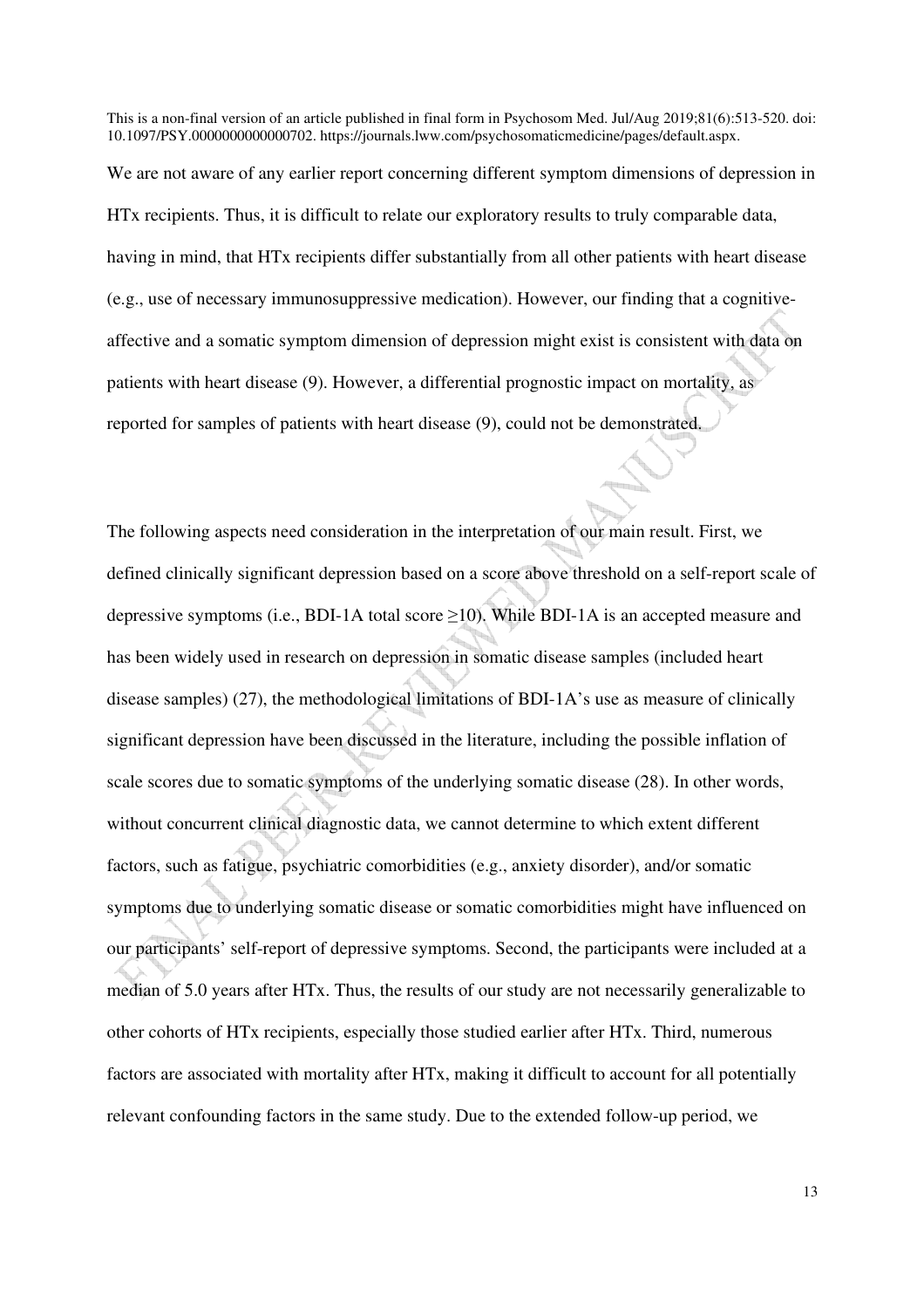We are not aware of any earlier report concerning different symptom dimensions of depression in HTx recipients. Thus, it is difficult to relate our exploratory results to truly comparable data, having in mind, that HTx recipients differ substantially from all other patients with heart disease (e.g., use of necessary immunosuppressive medication). However, our finding that a cognitiveaffective and a somatic symptom dimension of depression might exist is consistent with data on patients with heart disease (9). However, a differential prognostic impact on mortality, as reported for samples of patients with heart disease (9), could not be demonstrated.

The following aspects need consideration in the interpretation of our main result. First, we defined clinically significant depression based on a score above threshold on a self-report scale of depressive symptoms (i.e., BDI-1A total score  $\geq$ 10). While BDI-1A is an accepted measure and has been widely used in research on depression in somatic disease samples (included heart disease samples) (27), the methodological limitations of BDI-1A's use as measure of clinically significant depression have been discussed in the literature, including the possible inflation of scale scores due to somatic symptoms of the underlying somatic disease (28). In other words, without concurrent clinical diagnostic data, we cannot determine to which extent different factors, such as fatigue, psychiatric comorbidities (e.g., anxiety disorder), and/or somatic symptoms due to underlying somatic disease or somatic comorbidities might have influenced on our participants' self-report of depressive symptoms. Second, the participants were included at a median of 5.0 years after HTx. Thus, the results of our study are not necessarily generalizable to other cohorts of HTx recipients, especially those studied earlier after HTx. Third, numerous factors are associated with mortality after HTx, making it difficult to account for all potentially relevant confounding factors in the same study. Due to the extended follow-up period, we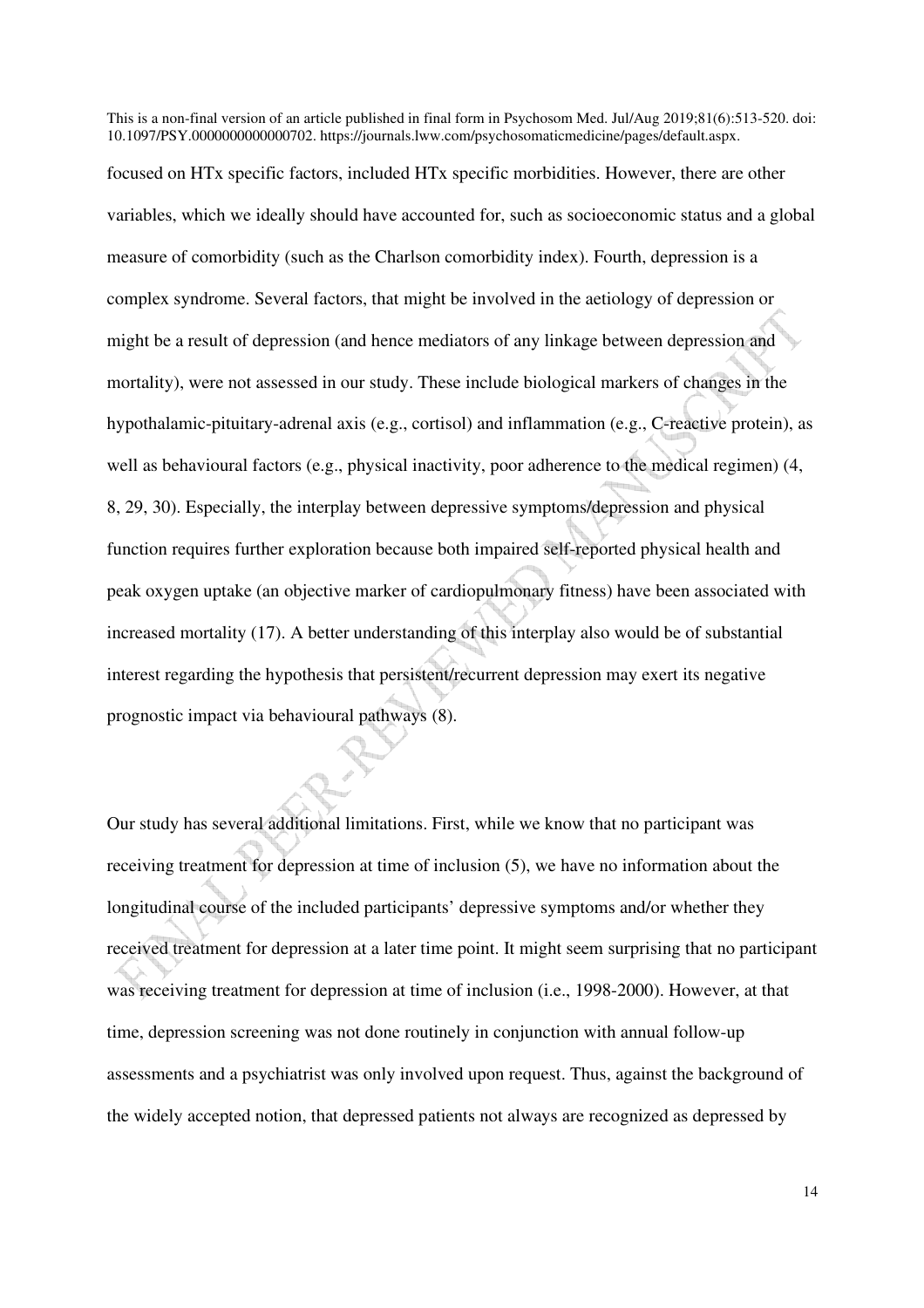focused on HTx specific factors, included HTx specific morbidities. However, there are other variables, which we ideally should have accounted for, such as socioeconomic status and a global measure of comorbidity (such as the Charlson comorbidity index). Fourth, depression is a complex syndrome. Several factors, that might be involved in the aetiology of depression or might be a result of depression (and hence mediators of any linkage between depression and mortality), were not assessed in our study. These include biological markers of changes in the hypothalamic-pituitary-adrenal axis (e.g., cortisol) and inflammation (e.g., C-reactive protein), as well as behavioural factors (e.g., physical inactivity, poor adherence to the medical regimen) (4, 8, 29, 30). Especially, the interplay between depressive symptoms/depression and physical function requires further exploration because both impaired self-reported physical health and peak oxygen uptake (an objective marker of cardiopulmonary fitness) have been associated with increased mortality (17). A better understanding of this interplay also would be of substantial interest regarding the hypothesis that persistent/recurrent depression may exert its negative prognostic impact via behavioural pathways (8).

Our study has several additional limitations. First, while we know that no participant was receiving treatment for depression at time of inclusion (5), we have no information about the longitudinal course of the included participants' depressive symptoms and/or whether they received treatment for depression at a later time point. It might seem surprising that no participant was receiving treatment for depression at time of inclusion (i.e., 1998-2000). However, at that time, depression screening was not done routinely in conjunction with annual follow-up assessments and a psychiatrist was only involved upon request. Thus, against the background of the widely accepted notion, that depressed patients not always are recognized as depressed by

14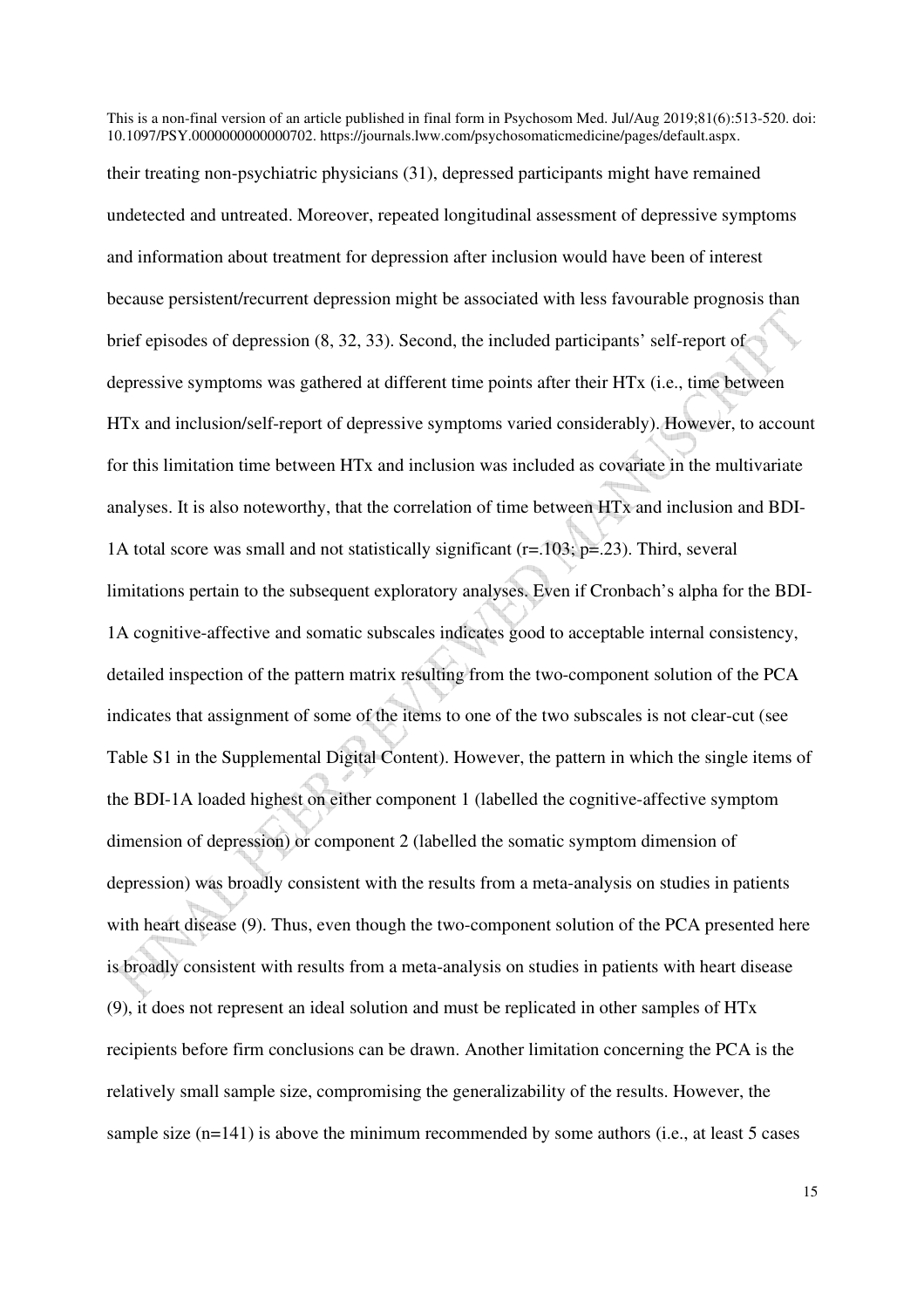This is a non-final version of an article published in final form in Psychosom Med. Jul/Aug 2019;81(6):513-520. doi: 10.1097/PSY.0000000000000702. https://journals.lww.com/psychosomaticmedicine/pages/default.aspx. their treating non-psychiatric physicians (31), depressed participants might have remained undetected and untreated. Moreover, repeated longitudinal assessment of depressive symptoms and information about treatment for depression after inclusion would have been of interest because persistent/recurrent depression might be associated with less favourable prognosis than brief episodes of depression (8, 32, 33). Second, the included participants' self-report of depressive symptoms was gathered at different time points after their HTx (i.e., time between HTx and inclusion/self-report of depressive symptoms varied considerably). However, to account for this limitation time between HTx and inclusion was included as covariate in the multivariate analyses. It is also noteworthy, that the correlation of time between HTx and inclusion and BDI-1A total score was small and not statistically significant (r=.103; p=.23). Third, several limitations pertain to the subsequent exploratory analyses. Even if Cronbach's alpha for the BDI-1A cognitive-affective and somatic subscales indicates good to acceptable internal consistency, detailed inspection of the pattern matrix resulting from the two-component solution of the PCA indicates that assignment of some of the items to one of the two subscales is not clear-cut (see Table S1 in the Supplemental Digital Content). However, the pattern in which the single items of the BDI-1A loaded highest on either component 1 (labelled the cognitive-affective symptom dimension of depression) or component 2 (labelled the somatic symptom dimension of depression) was broadly consistent with the results from a meta-analysis on studies in patients with heart disease (9). Thus, even though the two-component solution of the PCA presented here is broadly consistent with results from a meta-analysis on studies in patients with heart disease (9), it does not represent an ideal solution and must be replicated in other samples of HTx recipients before firm conclusions can be drawn. Another limitation concerning the PCA is the relatively small sample size, compromising the generalizability of the results. However, the sample size  $(n=141)$  is above the minimum recommended by some authors (i.e., at least 5 cases

15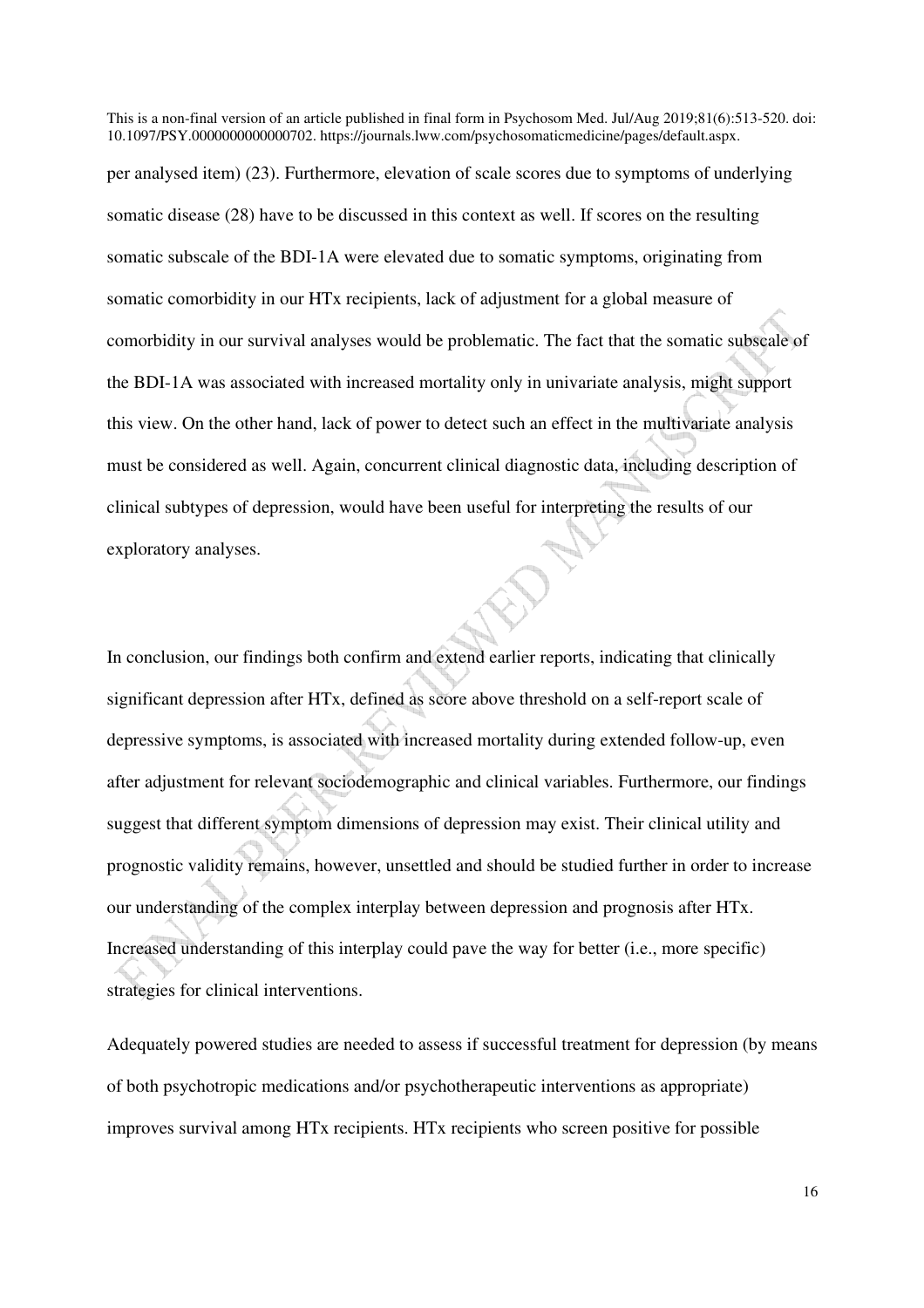10.1097/PSY.0000000000000702. https://journals.lww.com/psychosomaticmedicine/pages/default.aspx. per analysed item) (23). Furthermore, elevation of scale scores due to symptoms of underlying somatic disease (28) have to be discussed in this context as well. If scores on the resulting somatic subscale of the BDI-1A were elevated due to somatic symptoms, originating from somatic comorbidity in our HTx recipients, lack of adjustment for a global measure of comorbidity in our survival analyses would be problematic. The fact that the somatic subscale of the BDI-1A was associated with increased mortality only in univariate analysis, might support this view. On the other hand, lack of power to detect such an effect in the multivariate analysis must be considered as well. Again, concurrent clinical diagnostic data, including description of clinical subtypes of depression, would have been useful for interpreting the results of our exploratory analyses.

This is a non-final version of an article published in final form in Psychosom Med. Jul/Aug 2019;81(6):513-520. doi:

In conclusion, our findings both confirm and extend earlier reports, indicating that clinically significant depression after HTx, defined as score above threshold on a self-report scale of depressive symptoms, is associated with increased mortality during extended follow-up, even after adjustment for relevant sociodemographic and clinical variables. Furthermore, our findings suggest that different symptom dimensions of depression may exist. Their clinical utility and prognostic validity remains, however, unsettled and should be studied further in order to increase our understanding of the complex interplay between depression and prognosis after HTx. Increased understanding of this interplay could pave the way for better (i.e., more specific) strategies for clinical interventions.

Adequately powered studies are needed to assess if successful treatment for depression (by means of both psychotropic medications and/or psychotherapeutic interventions as appropriate) improves survival among HTx recipients. HTx recipients who screen positive for possible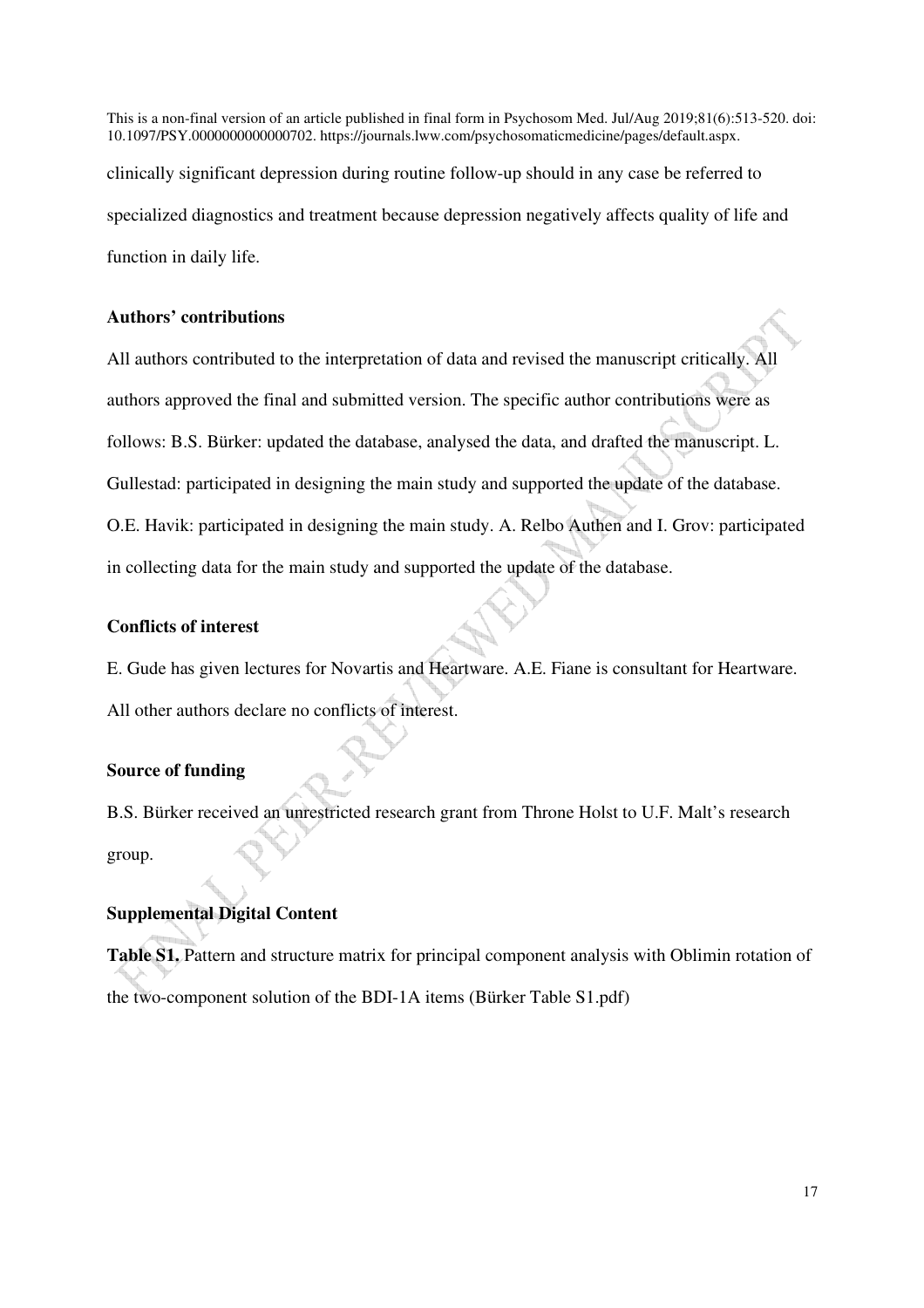This is a non-final version of an article published in final form in Psychosom Med. Jul/Aug 2019;81(6):513-520. doi: 10.1097/PSY.0000000000000702. https://journals.lww.com/psychosomaticmedicine/pages/default.aspx. clinically significant depression during routine follow-up should in any case be referred to specialized diagnostics and treatment because depression negatively affects quality of life and function in daily life.

## **Authors' contributions**

All authors contributed to the interpretation of data and revised the manuscript critically. All authors approved the final and submitted version. The specific author contributions were as follows: B.S. Bürker: updated the database, analysed the data, and drafted the manuscript. L. Gullestad: participated in designing the main study and supported the update of the database. O.E. Havik: participated in designing the main study. A. Relbo Authen and I. Grov: participated in collecting data for the main study and supported the update of the database.

## **Conflicts of interest**

E. Gude has given lectures for Novartis and Heartware. A.E. Fiane is consultant for Heartware. All other authors declare no conflicts of interest.

## **Source of funding**

B.S. Bürker received an unrestricted research grant from Throne Holst to U.F. Malt's research group.

## **Supplemental Digital Content**

**Table S1.** Pattern and structure matrix for principal component analysis with Oblimin rotation of the two-component solution of the BDI-1A items (Bürker Table S1.pdf)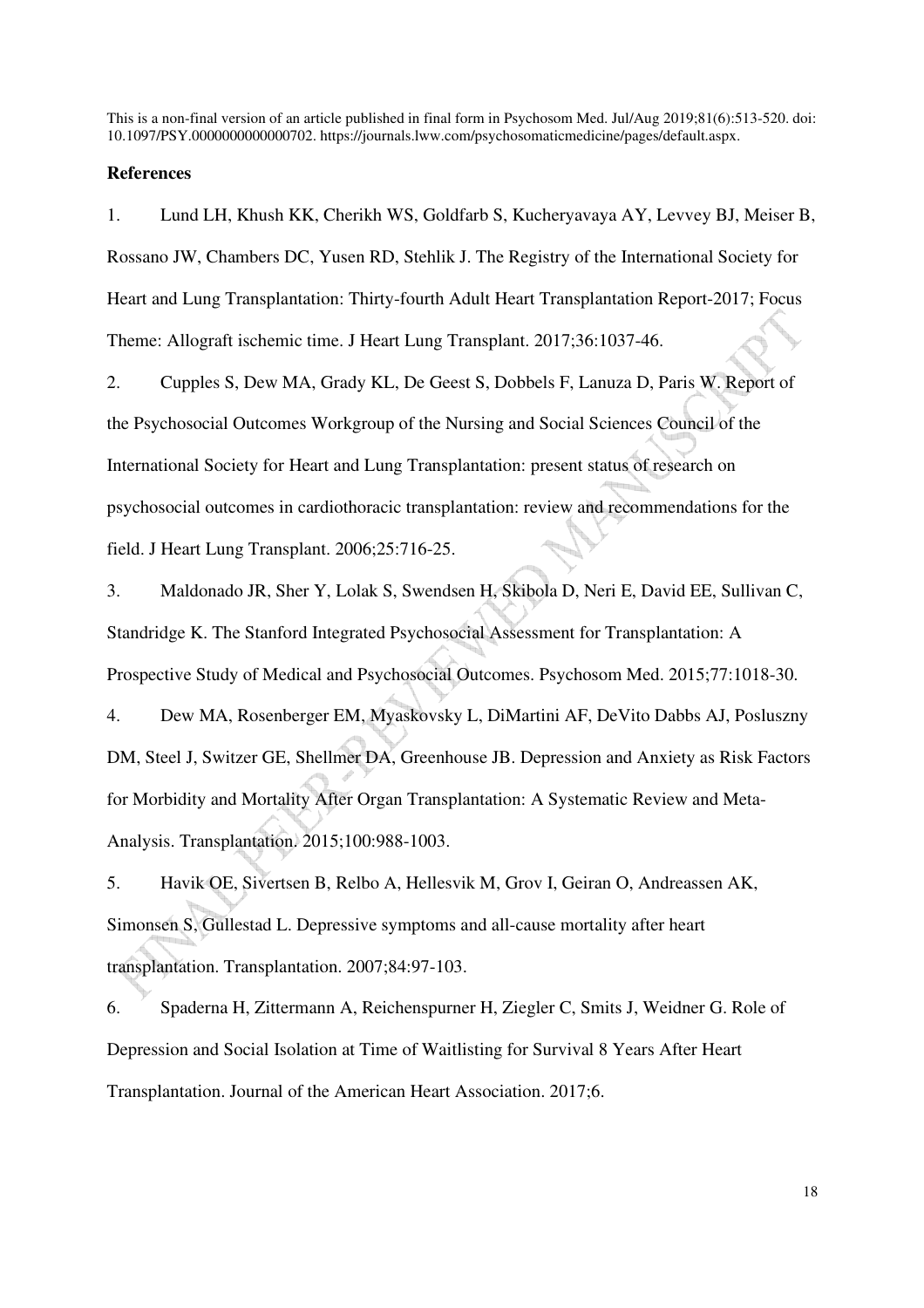#### **References**

1. Lund LH, Khush KK, Cherikh WS, Goldfarb S, Kucheryavaya AY, Levvey BJ, Meiser B, Rossano JW, Chambers DC, Yusen RD, Stehlik J. The Registry of the International Society for Heart and Lung Transplantation: Thirty-fourth Adult Heart Transplantation Report-2017; Focus Theme: Allograft ischemic time. J Heart Lung Transplant. 2017;36:1037-46.

2. Cupples S, Dew MA, Grady KL, De Geest S, Dobbels F, Lanuza D, Paris W. Report of the Psychosocial Outcomes Workgroup of the Nursing and Social Sciences Council of the International Society for Heart and Lung Transplantation: present status of research on psychosocial outcomes in cardiothoracic transplantation: review and recommendations for the field. J Heart Lung Transplant. 2006;25:716-25.

3. Maldonado JR, Sher Y, Lolak S, Swendsen H, Skibola D, Neri E, David EE, Sullivan C, Standridge K. The Stanford Integrated Psychosocial Assessment for Transplantation: A Prospective Study of Medical and Psychosocial Outcomes. Psychosom Med. 2015;77:1018-30.

4. Dew MA, Rosenberger EM, Myaskovsky L, DiMartini AF, DeVito Dabbs AJ, Posluszny DM, Steel J, Switzer GE, Shellmer DA, Greenhouse JB. Depression and Anxiety as Risk Factors for Morbidity and Mortality After Organ Transplantation: A Systematic Review and Meta-Analysis. Transplantation. 2015;100:988-1003.

5. Havik OE, Sivertsen B, Relbo A, Hellesvik M, Grov I, Geiran O, Andreassen AK, Simonsen S, Gullestad L. Depressive symptoms and all-cause mortality after heart transplantation. Transplantation. 2007;84:97-103.

6. Spaderna H, Zittermann A, Reichenspurner H, Ziegler C, Smits J, Weidner G. Role of Depression and Social Isolation at Time of Waitlisting for Survival 8 Years After Heart Transplantation. Journal of the American Heart Association. 2017;6.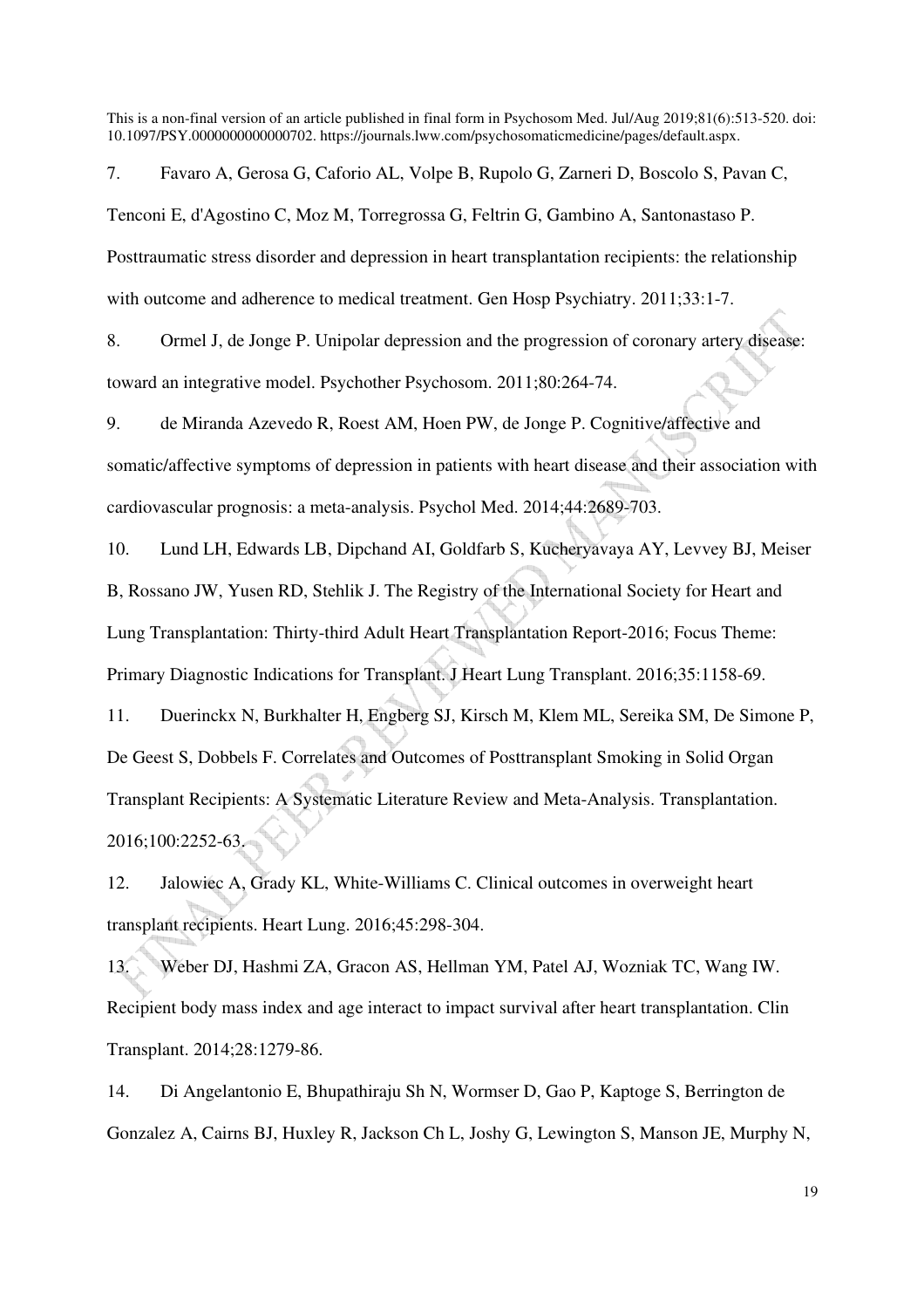7. Favaro A, Gerosa G, Caforio AL, Volpe B, Rupolo G, Zarneri D, Boscolo S, Pavan C, Tenconi E, d'Agostino C, Moz M, Torregrossa G, Feltrin G, Gambino A, Santonastaso P. Posttraumatic stress disorder and depression in heart transplantation recipients: the relationship with outcome and adherence to medical treatment. Gen Hosp Psychiatry. 2011;33:1-7.

8. Ormel J, de Jonge P. Unipolar depression and the progression of coronary artery disease: toward an integrative model. Psychother Psychosom. 2011;80:264-74.

9. de Miranda Azevedo R, Roest AM, Hoen PW, de Jonge P. Cognitive/affective and somatic/affective symptoms of depression in patients with heart disease and their association with cardiovascular prognosis: a meta-analysis. Psychol Med. 2014;44:2689-703.

10. Lund LH, Edwards LB, Dipchand AI, Goldfarb S, Kucheryavaya AY, Levvey BJ, Meiser B, Rossano JW, Yusen RD, Stehlik J. The Registry of the International Society for Heart and Lung Transplantation: Thirty-third Adult Heart Transplantation Report-2016; Focus Theme: Primary Diagnostic Indications for Transplant. J Heart Lung Transplant. 2016;35:1158-69.

11. Duerinckx N, Burkhalter H, Engberg SJ, Kirsch M, Klem ML, Sereika SM, De Simone P, De Geest S, Dobbels F. Correlates and Outcomes of Posttransplant Smoking in Solid Organ Transplant Recipients: A Systematic Literature Review and Meta-Analysis. Transplantation. 2016;100:2252-63.

12. Jalowiec A, Grady KL, White-Williams C. Clinical outcomes in overweight heart transplant recipients. Heart Lung. 2016;45:298-304.

13. Weber DJ, Hashmi ZA, Gracon AS, Hellman YM, Patel AJ, Wozniak TC, Wang IW. Recipient body mass index and age interact to impact survival after heart transplantation. Clin Transplant. 2014;28:1279-86.

14. Di Angelantonio E, Bhupathiraju Sh N, Wormser D, Gao P, Kaptoge S, Berrington de Gonzalez A, Cairns BJ, Huxley R, Jackson Ch L, Joshy G, Lewington S, Manson JE, Murphy N,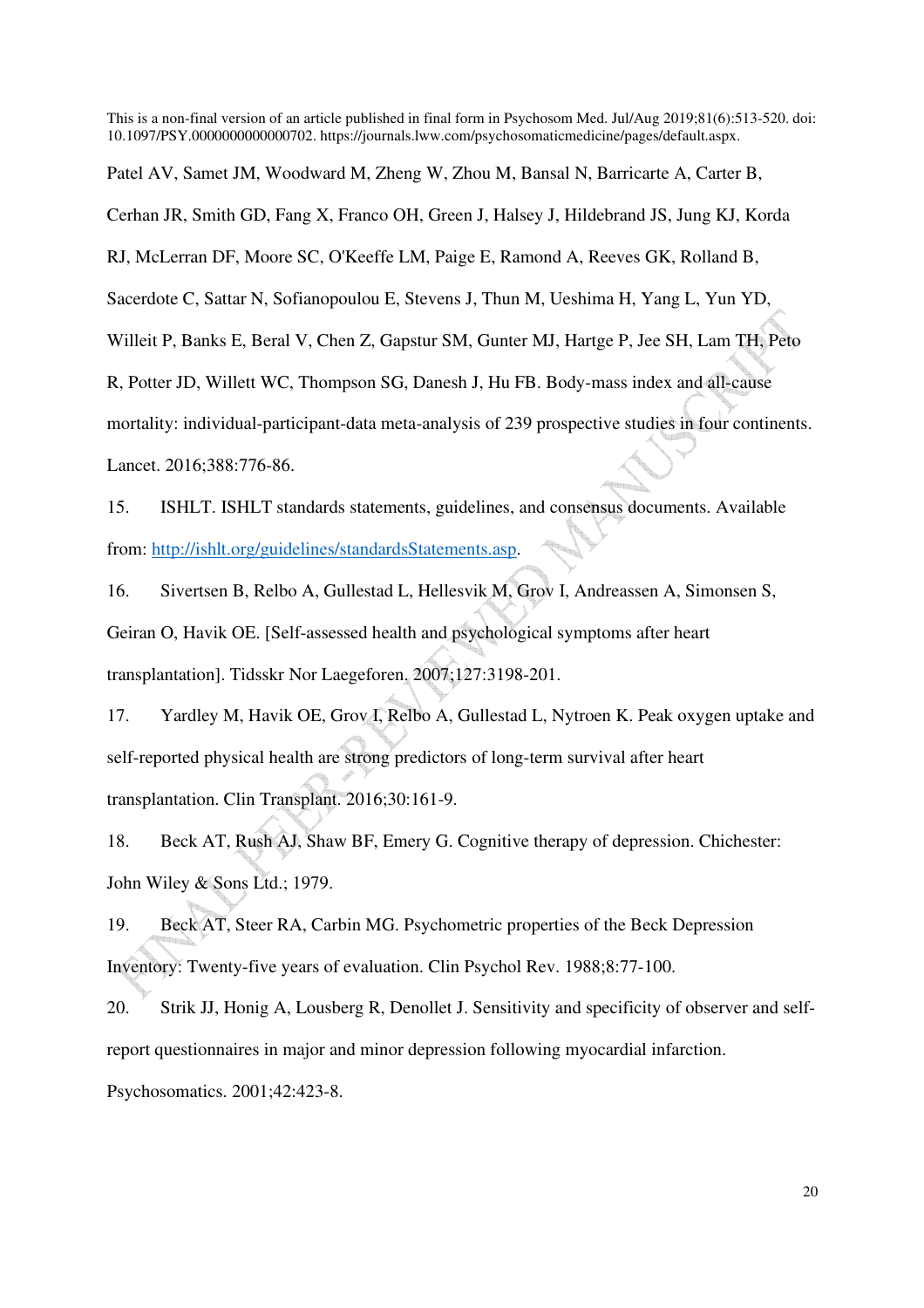Patel AV, Samet JM, Woodward M, Zheng W, Zhou M, Bansal N, Barricarte A, Carter B,

Cerhan JR, Smith GD, Fang X, Franco OH, Green J, Halsey J, Hildebrand JS, Jung KJ, Korda

RJ, McLerran DF, Moore SC, O'Keeffe LM, Paige E, Ramond A, Reeves GK, Rolland B,

Sacerdote C, Sattar N, Sofianopoulou E, Stevens J, Thun M, Ueshima H, Yang L, Yun YD,

Willeit P, Banks E, Beral V, Chen Z, Gapstur SM, Gunter MJ, Hartge P, Jee SH, Lam TH, Peto

R, Potter JD, Willett WC, Thompson SG, Danesh J, Hu FB. Body-mass index and all-cause

mortality: individual-participant-data meta-analysis of 239 prospective studies in four continents.

Lancet. 2016;388:776-86.

15. ISHLT. ISHLT standards statements, guidelines, and consensus documents. Available from: http://ishlt.org/guidelines/standardsStatements.asp.

16. Sivertsen B, Relbo A, Gullestad L, Hellesvik M, Grov I, Andreassen A, Simonsen S,

Geiran O, Havik OE. [Self-assessed health and psychological symptoms after heart

transplantation]. Tidsskr Nor Laegeforen. 2007;127:3198-201.

17. Yardley M, Havik OE, Grov I, Relbo A, Gullestad L, Nytroen K. Peak oxygen uptake and self-reported physical health are strong predictors of long-term survival after heart transplantation. Clin Transplant. 2016;30:161-9.

18. Beck AT, Rush AJ, Shaw BF, Emery G. Cognitive therapy of depression. Chichester: John Wiley & Sons Ltd.; 1979.

19. Beck AT, Steer RA, Carbin MG. Psychometric properties of the Beck Depression Inventory: Twenty-five years of evaluation. Clin Psychol Rev. 1988;8:77-100.

20. Strik JJ, Honig A, Lousberg R, Denollet J. Sensitivity and specificity of observer and selfreport questionnaires in major and minor depression following myocardial infarction. Psychosomatics. 2001;42:423-8.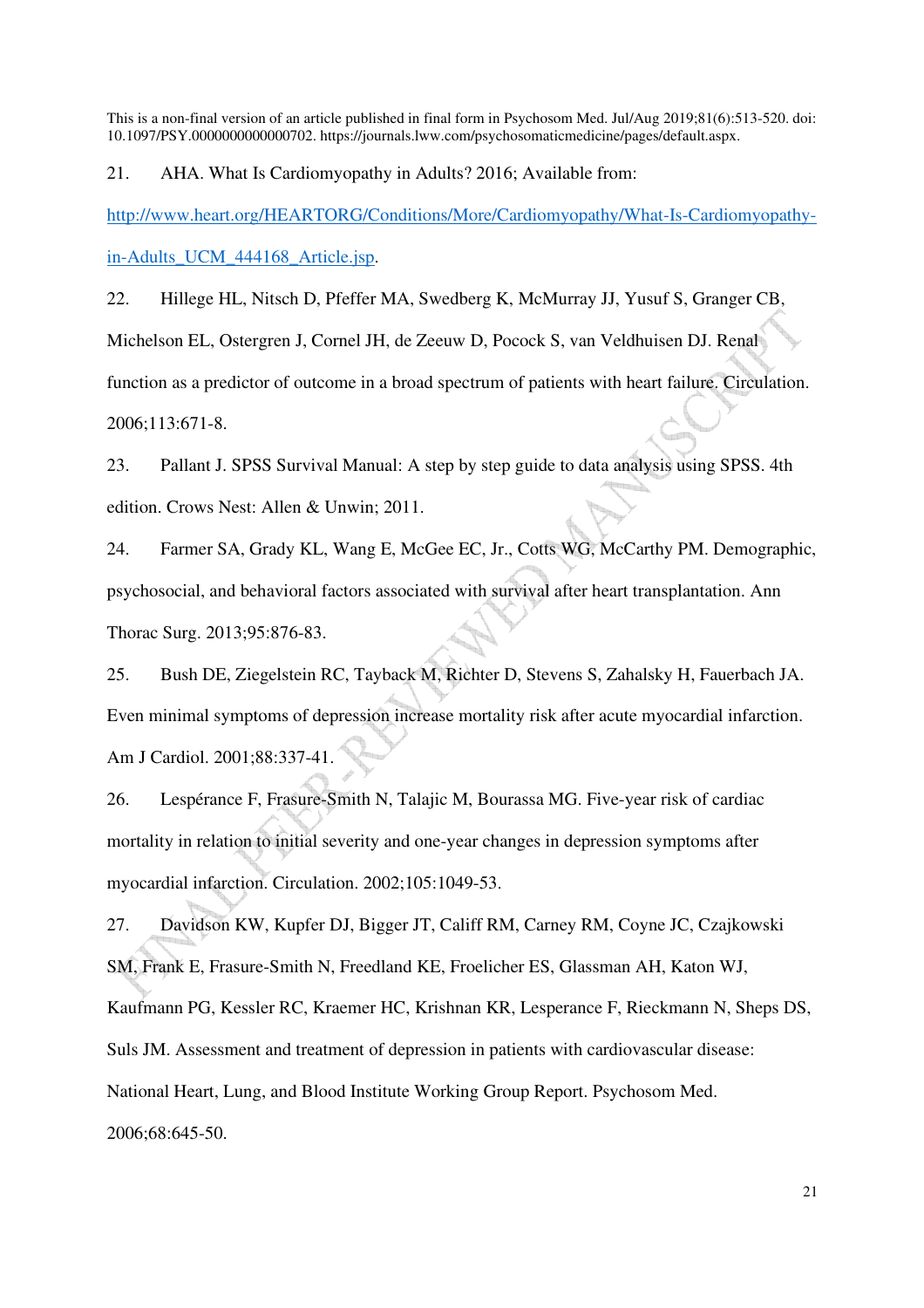21. AHA. What Is Cardiomyopathy in Adults? 2016; Available from:

http://www.heart.org/HEARTORG/Conditions/More/Cardiomyopathy/What-Is-Cardiomyopathyin-Adults\_UCM\_444168\_Article.jsp.

22. Hillege HL, Nitsch D, Pfeffer MA, Swedberg K, McMurray JJ, Yusuf S, Granger CB, Michelson EL, Ostergren J, Cornel JH, de Zeeuw D, Pocock S, van Veldhuisen DJ. Renal function as a predictor of outcome in a broad spectrum of patients with heart failure. Circulation. 2006;113:671-8.

23. Pallant J. SPSS Survival Manual: A step by step guide to data analysis using SPSS. 4th edition. Crows Nest: Allen & Unwin; 2011.

24. Farmer SA, Grady KL, Wang E, McGee EC, Jr., Cotts WG, McCarthy PM. Demographic, psychosocial, and behavioral factors associated with survival after heart transplantation. Ann Thorac Surg. 2013;95:876-83.

25. Bush DE, Ziegelstein RC, Tayback M, Richter D, Stevens S, Zahalsky H, Fauerbach JA. Even minimal symptoms of depression increase mortality risk after acute myocardial infarction. Am J Cardiol. 2001;88:337-41.

26. Lespérance F, Frasure-Smith N, Talajic M, Bourassa MG. Five-year risk of cardiac mortality in relation to initial severity and one-year changes in depression symptoms after myocardial infarction. Circulation. 2002;105:1049-53.

27. Davidson KW, Kupfer DJ, Bigger JT, Califf RM, Carney RM, Coyne JC, Czajkowski SM, Frank E, Frasure-Smith N, Freedland KE, Froelicher ES, Glassman AH, Katon WJ, Kaufmann PG, Kessler RC, Kraemer HC, Krishnan KR, Lesperance F, Rieckmann N, Sheps DS, Suls JM. Assessment and treatment of depression in patients with cardiovascular disease: National Heart, Lung, and Blood Institute Working Group Report. Psychosom Med. 2006;68:645-50.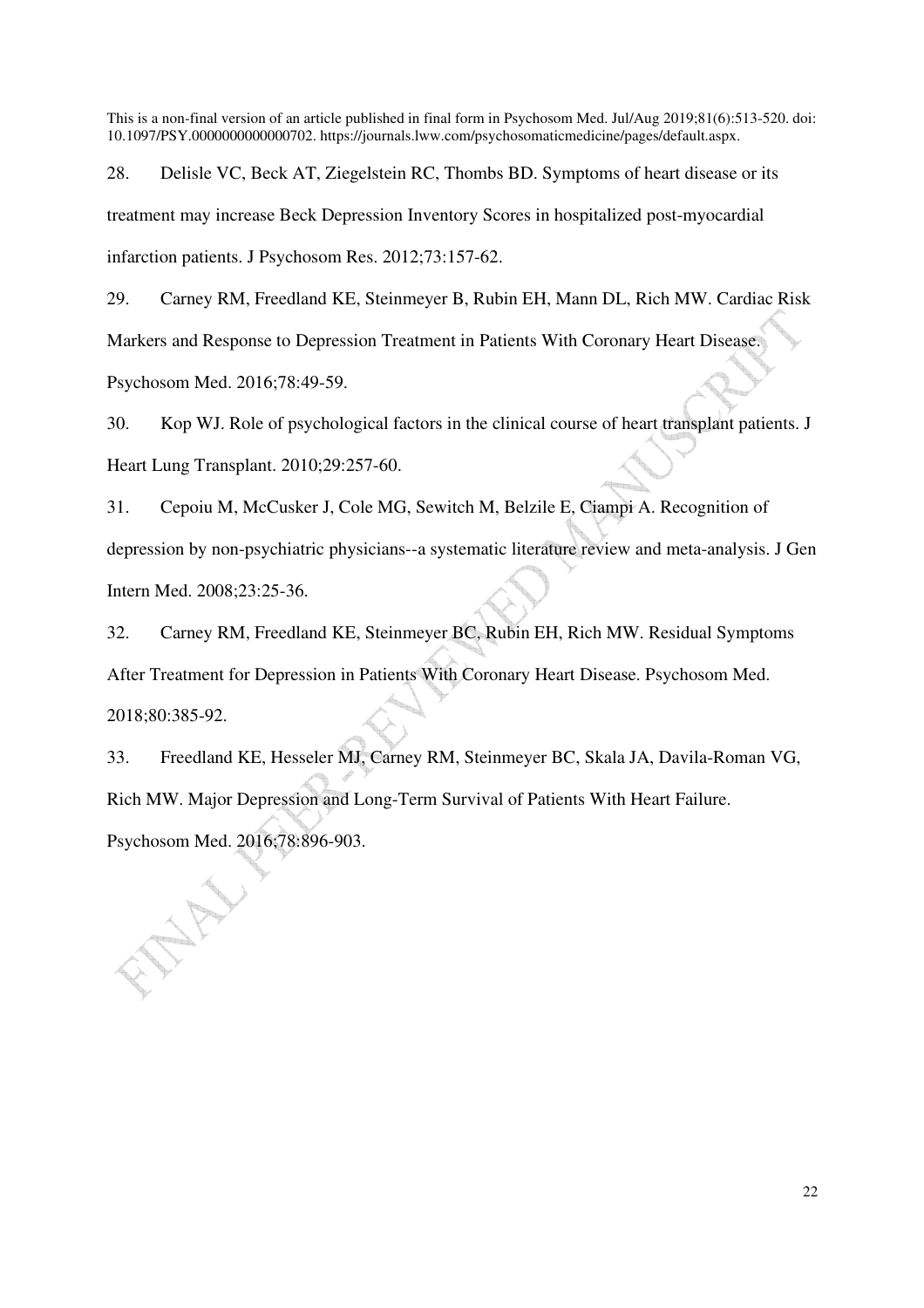28. Delisle VC, Beck AT, Ziegelstein RC, Thombs BD. Symptoms of heart disease or its treatment may increase Beck Depression Inventory Scores in hospitalized post-myocardial infarction patients. J Psychosom Res. 2012;73:157-62.

29. Carney RM, Freedland KE, Steinmeyer B, Rubin EH, Mann DL, Rich MW. Cardiac Risk Markers and Response to Depression Treatment in Patients With Coronary Heart Disease. Psychosom Med. 2016;78:49-59.

30. Kop WJ. Role of psychological factors in the clinical course of heart transplant patients. J Heart Lung Transplant. 2010;29:257-60.

31. Cepoiu M, McCusker J, Cole MG, Sewitch M, Belzile E, Ciampi A. Recognition of depression by non-psychiatric physicians--a systematic literature review and meta-analysis. J Gen Intern Med. 2008;23:25-36.

32. Carney RM, Freedland KE, Steinmeyer BC, Rubin EH, Rich MW. Residual Symptoms After Treatment for Depression in Patients With Coronary Heart Disease. Psychosom Med. 2018;80:385-92.

33. Freedland KE, Hesseler MJ, Carney RM, Steinmeyer BC, Skala JA, Davila-Roman VG, Rich MW. Major Depression and Long-Term Survival of Patients With Heart Failure. Psychosom Med. 2016;78:896-903.

22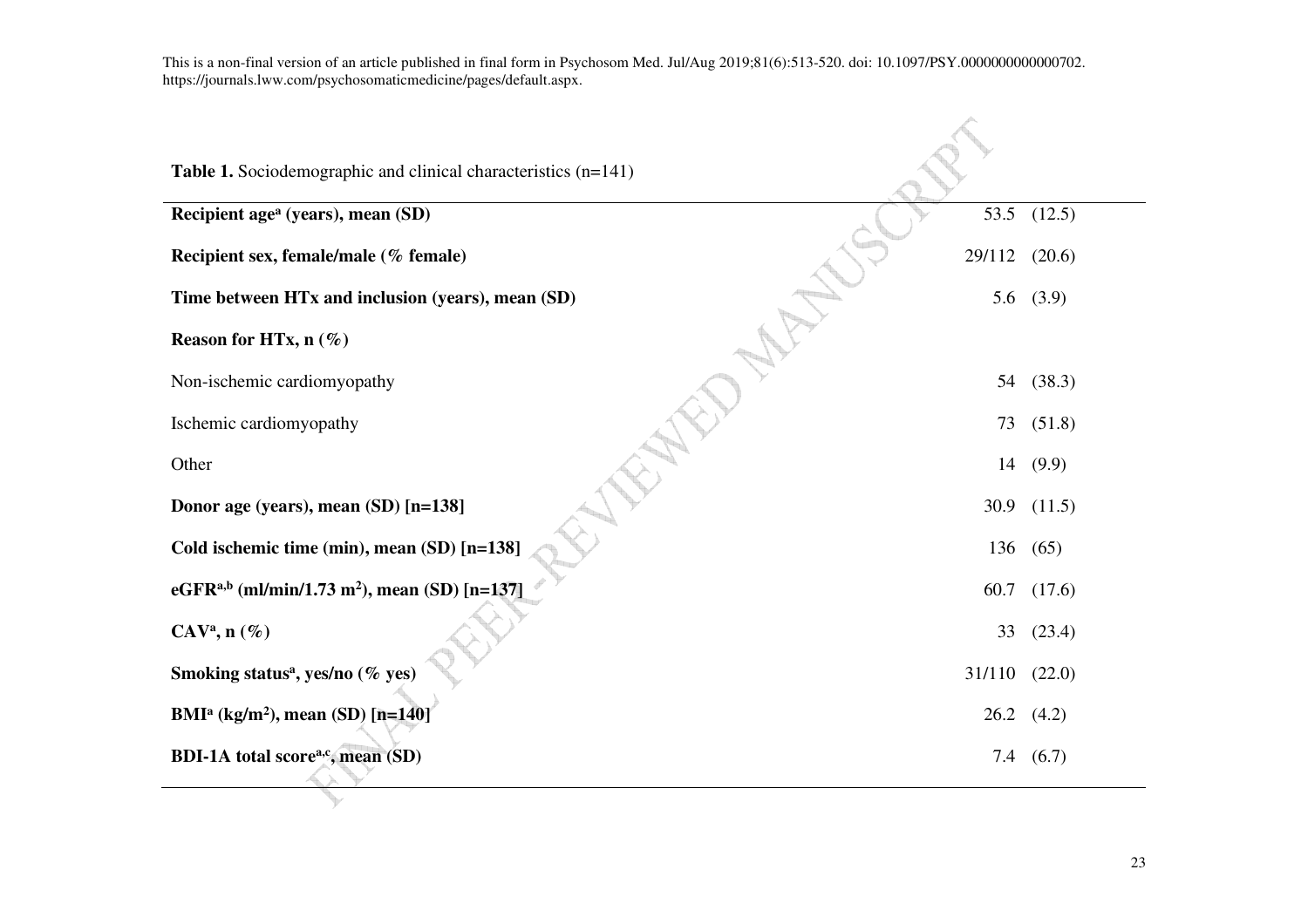| Table 1. Sociodemographic and clinical characteristics (n=141)<br>Recipient age <sup>a</sup> (years), mean (SD)<br>53.5<br>(12.5)<br>Recipient sex, female/male (% female)<br>29/112<br>(20.6)<br>Time between HTx and inclusion (years), mean (SD)<br>5.6 $(3.9)$<br>Reason for HTx, $n$ (%)<br>(38.3)<br>Non-ischemic cardiomyopathy<br>54<br>Ischemic cardiomyopathy<br>(51.8)<br>73<br>Other<br>14 (9.9)<br>Donor age (years), mean (SD) [n=138]<br>30.9 $(11.5)$<br>Cold ischemic time (min), mean (SD) [n=138]<br>136<br>(65) |
|-------------------------------------------------------------------------------------------------------------------------------------------------------------------------------------------------------------------------------------------------------------------------------------------------------------------------------------------------------------------------------------------------------------------------------------------------------------------------------------------------------------------------------------|
|                                                                                                                                                                                                                                                                                                                                                                                                                                                                                                                                     |
|                                                                                                                                                                                                                                                                                                                                                                                                                                                                                                                                     |
|                                                                                                                                                                                                                                                                                                                                                                                                                                                                                                                                     |
|                                                                                                                                                                                                                                                                                                                                                                                                                                                                                                                                     |
|                                                                                                                                                                                                                                                                                                                                                                                                                                                                                                                                     |
|                                                                                                                                                                                                                                                                                                                                                                                                                                                                                                                                     |
|                                                                                                                                                                                                                                                                                                                                                                                                                                                                                                                                     |
|                                                                                                                                                                                                                                                                                                                                                                                                                                                                                                                                     |
|                                                                                                                                                                                                                                                                                                                                                                                                                                                                                                                                     |
|                                                                                                                                                                                                                                                                                                                                                                                                                                                                                                                                     |
| eGFR <sup>a,b</sup> (ml/min/1.73 m <sup>2</sup> ), mean (SD) [n=137]<br>60.7<br>(17.6)                                                                                                                                                                                                                                                                                                                                                                                                                                              |
| $\mathbf{C}\mathbf{A}\mathbf{V}^{\mathbf{a}}, \mathbf{n}$ (%)<br>(23.4)<br>33                                                                                                                                                                                                                                                                                                                                                                                                                                                       |
| Smoking status <sup>a</sup> , yes/no (% yes)<br>31/110<br>(22.0)                                                                                                                                                                                                                                                                                                                                                                                                                                                                    |
| BMI <sup>a</sup> (kg/m <sup>2</sup> ), mean (SD) [n=140]<br>$26.2$ $(4.2)$                                                                                                                                                                                                                                                                                                                                                                                                                                                          |
| BDI-1A total score <sup>a,c</sup> , mean (SD)<br>7.4<br>(6.7)                                                                                                                                                                                                                                                                                                                                                                                                                                                                       |

**Contract Contract Contract Contract**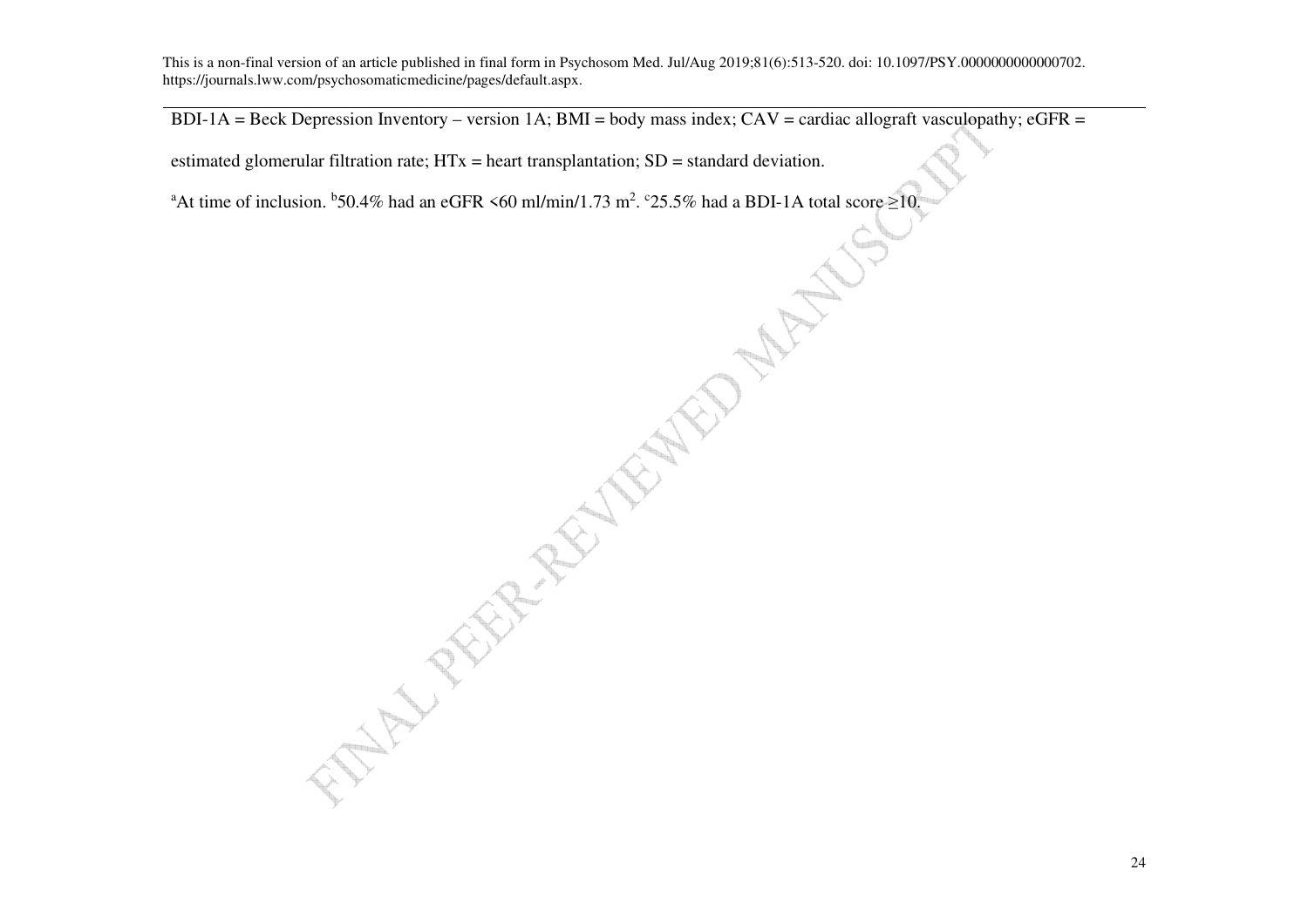$BDI-1A = Beck$  Depression Inventory – version 1A; BMI = body mass index; CAV = cardiac allograft vasculopathy; eGFR =

estimated glomerular filtration rate; HTx = heart transplantation; SD = standard deviation.

AND THE REAL PROPERTY OF THE REAL PROPERTY. <sup>a</sup>At time of inclusion. <sup>b</sup>50.4% had an eGFR <60 ml/min/1.73 m<sup>2</sup>. <sup>c</sup>25.5% had a BDI-1A total score  $\geq$ 10.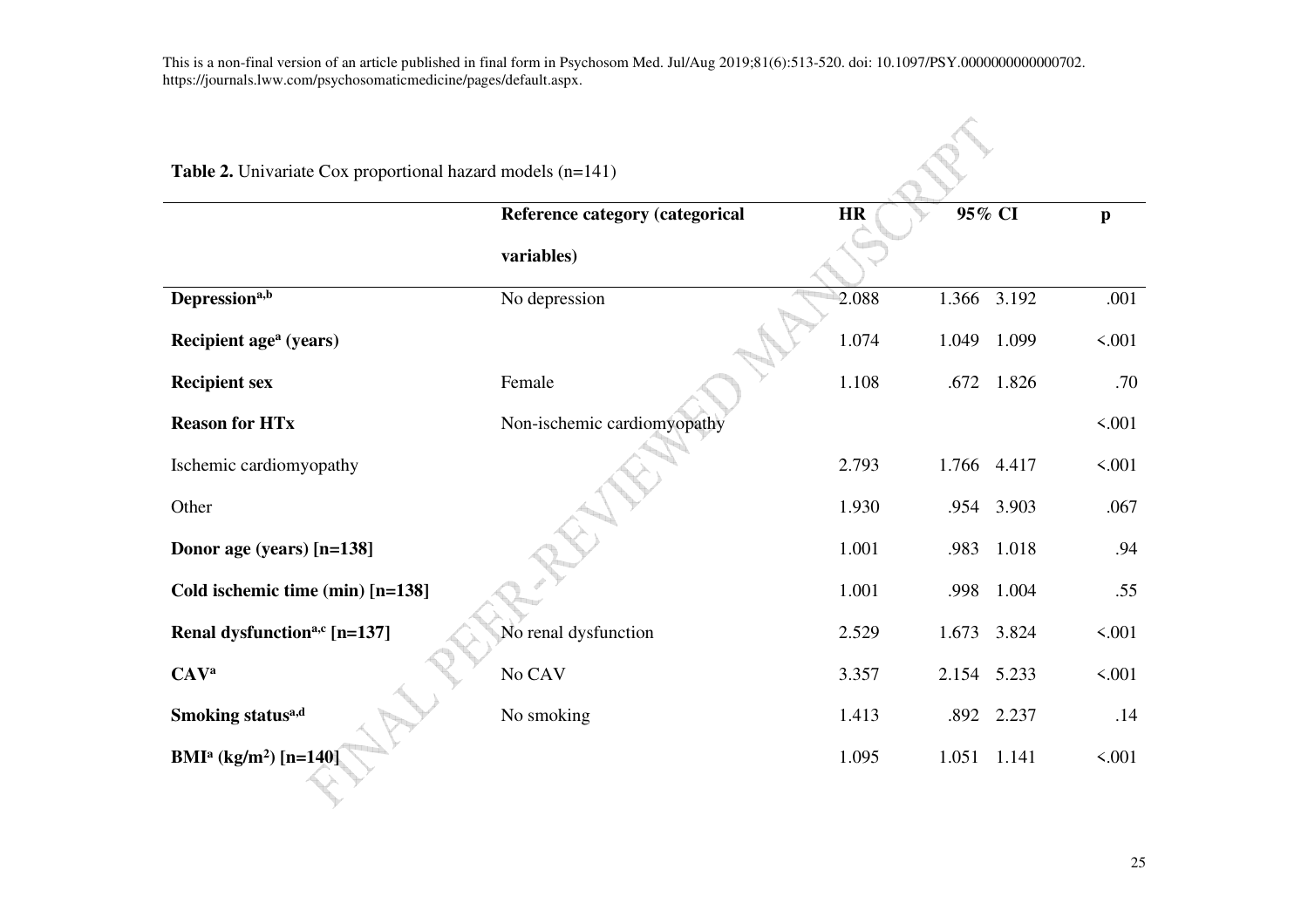| <b>Table 2.</b> Univariate Cox proportional hazard models $(n=141)$ |                                 |           |             |            |              |
|---------------------------------------------------------------------|---------------------------------|-----------|-------------|------------|--------------|
|                                                                     | Reference category (categorical | <b>HR</b> | 95% CI      |            | $\mathbf{p}$ |
|                                                                     | variables)                      |           |             |            |              |
| Depression <sup>a,b</sup>                                           | No depression                   | 2.088     | 1.366 3.192 |            | .001         |
| Recipient age <sup>a</sup> (years)                                  |                                 | 1.074     | 1.049       | 1.099      | 5.001        |
| <b>Recipient sex</b>                                                | Female                          | 1.108     |             | .672 1.826 | .70          |
| <b>Reason for HTx</b>                                               | Non-ischemic cardiomyopathy     |           |             |            | 5.001        |
| Ischemic cardiomyopathy                                             |                                 | 2.793     | 1.766 4.417 |            | 5.001        |
| Other                                                               |                                 | 1.930     |             | .954 3.903 | .067         |
| Donor age (years) [n=138]                                           |                                 | 1.001     | .983        | 1.018      | .94          |
| Cold ischemic time (min) [n=138]                                    |                                 | 1.001     | .998        | 1.004      | .55          |
| Renal dysfunction <sup>a,c</sup> [n=137]                            | No renal dysfunction            | 2.529     | 1.673       | 3.824      | 5.001        |
| <b>CAVa</b>                                                         | No CAV                          | 3.357     | 2.154 5.233 |            | 5.001        |
| Smoking status <sup>a,d</sup>                                       | No smoking                      | 1.413     |             | .892 2.237 | .14          |
| BMI <sup>a</sup> (kg/m <sup>2</sup> ) [n=140]                       |                                 | 1.095     | 1.051       | 1.141      | < .001       |
|                                                                     |                                 |           |             |            |              |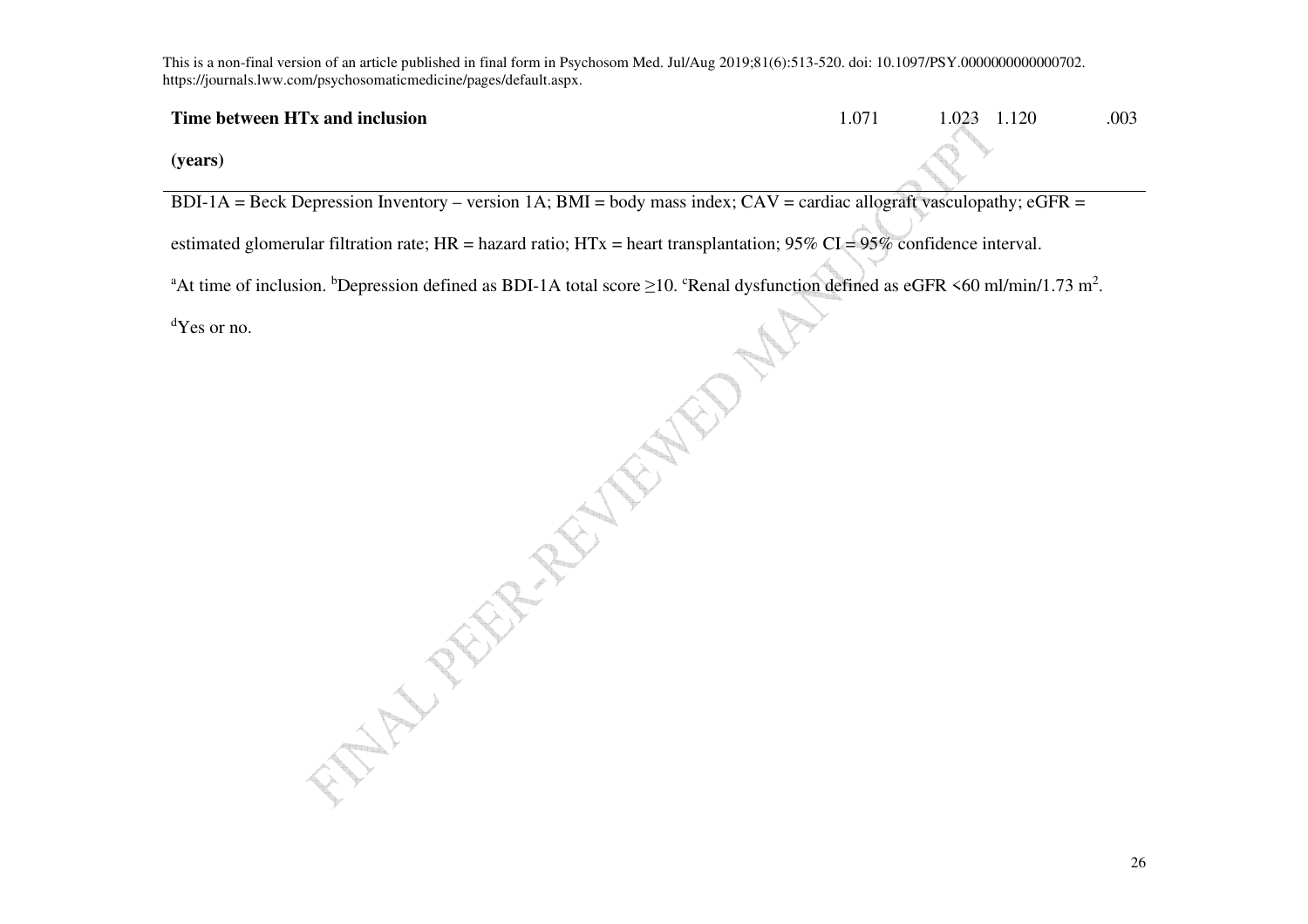## **Time between HTx and inclusion**

1.071 1.023 1.120 .003

**(years)** 

BDI-1A = Beck Depression Inventory – version 1A; BMI = body mass index;  $CAV =$  cardiac allograft vasculopathy; eGFR =

<sup>a</sup>At time of inclusion. <sup>b</sup>Depression defined as BDI-1A total score  $\geq$ 10. <sup>c</sup>Renal dysfunction defined as eGFR <60 ml/min/1.73 m<sup>2</sup>.

<sup>d</sup>Yes or no.

estimated glomerular filtration rate; HR = hazard ratio; HTx = heart transplantation; 95% CI = 95% confidence interval.<br>
"At time of inclusion. "Depression defined as BDI-1A total score  $\geq$ 10. "Renal dysfunction defined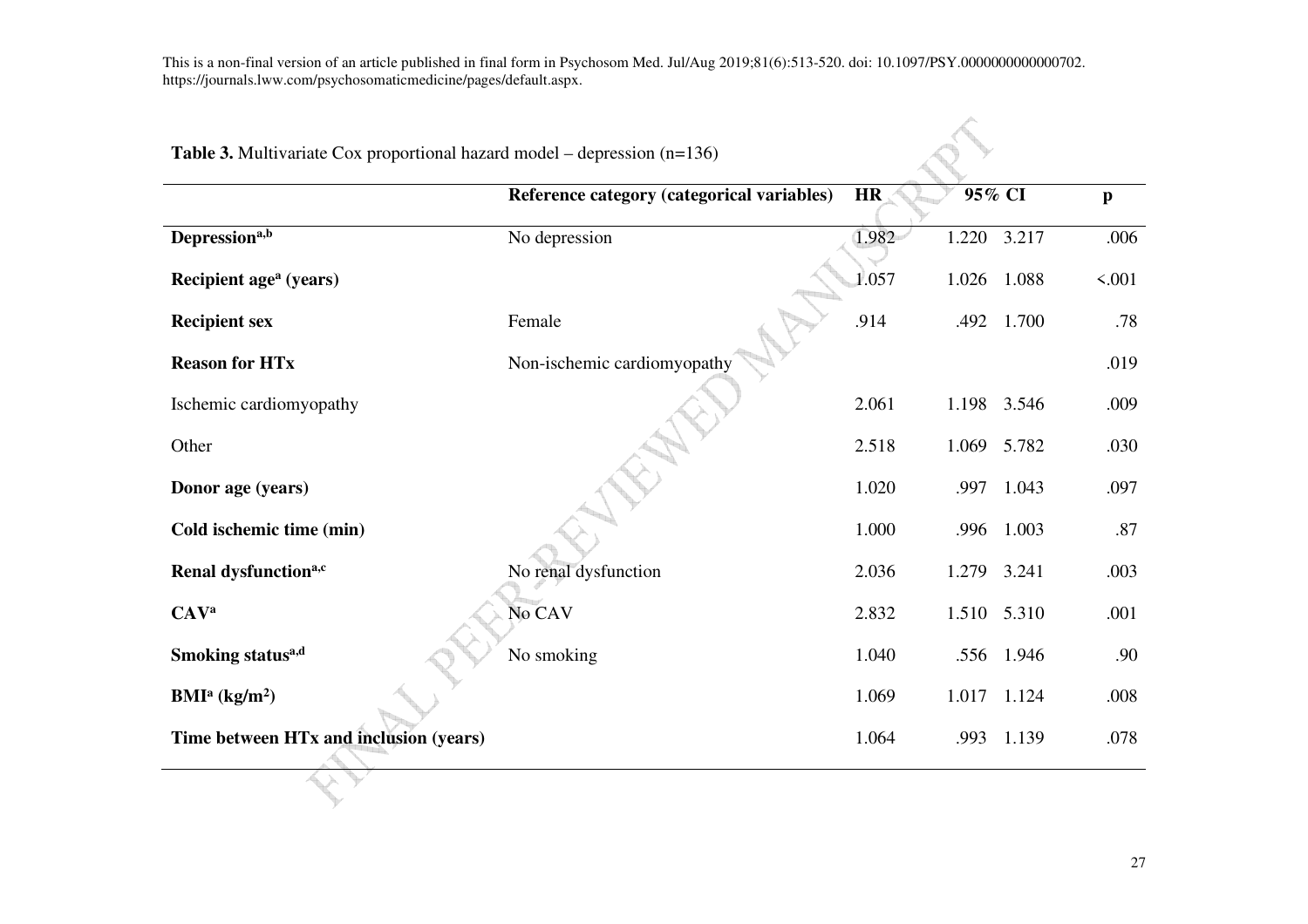| <b>Table 3.</b> Multivariate Cox proportional hazard model – depression $(n=136)$ |                                            |           |       |             |              |
|-----------------------------------------------------------------------------------|--------------------------------------------|-----------|-------|-------------|--------------|
|                                                                                   | Reference category (categorical variables) | <b>HR</b> |       | 95% CI      | $\mathbf{p}$ |
| Depression <sup>a,b</sup>                                                         | No depression                              | 1.982     | 1.220 | 3.217       | .006         |
| Recipient age <sup>a</sup> (years)                                                |                                            | 1.057     | 1.026 | 1.088       | 5.001        |
| <b>Recipient sex</b>                                                              | Female                                     | .914      | .492  | 1.700       | .78          |
| <b>Reason for HTx</b>                                                             | Non-ischemic cardiomyopathy                |           |       |             | .019         |
| Ischemic cardiomyopathy                                                           |                                            | 2.061     |       | 1.198 3.546 | .009         |
| Other                                                                             |                                            | 2.518     | 1.069 | 5.782       | .030         |
| Donor age (years)                                                                 |                                            | 1.020     | .997  | 1.043       | .097         |
| Cold ischemic time (min)                                                          |                                            | 1.000     | .996  | 1.003       | .87          |
| Renal dysfunction <sup>a,c</sup>                                                  | No renal dysfunction                       | 2.036     | 1.279 | 3.241       | .003         |
| <b>CAVa</b>                                                                       | No CAV                                     | 2.832     |       | 1.510 5.310 | .001         |
| Smoking status <sup>a,d</sup>                                                     | No smoking                                 | 1.040     | .556  | 1.946       | .90          |
| BMI <sup>a</sup> (kg/m <sup>2</sup> )                                             |                                            | 1.069     |       | 1.017 1.124 | .008         |
| Time between HTx and inclusion (years)                                            |                                            | 1.064     | .993  | 1.139       | .078         |
|                                                                                   |                                            |           |       |             |              |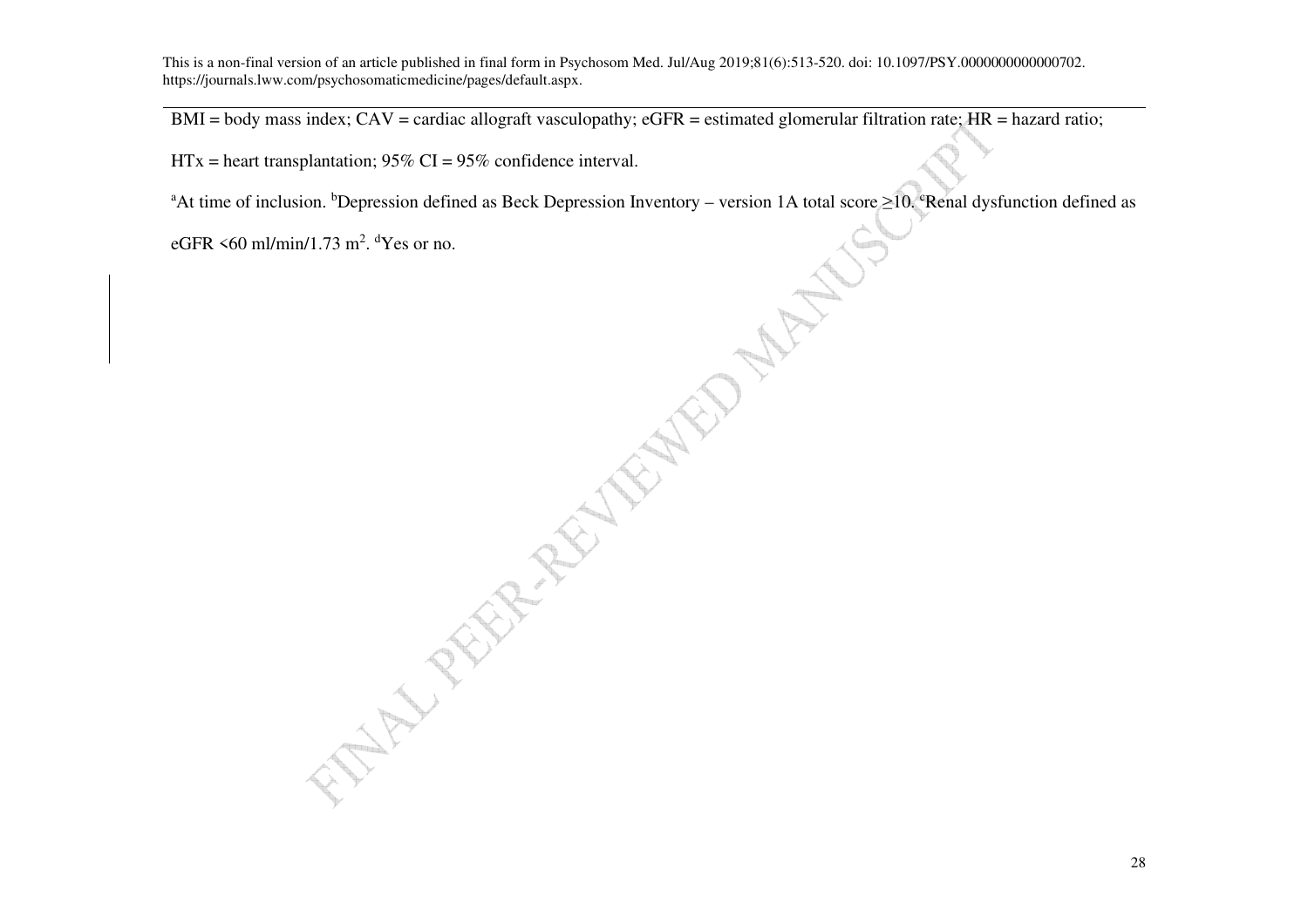$BMI = body$  mass index;  $CAV = cardiac$  allograft vasculopathy;  $eGFR = estimated$  glomerular filtration rate;  $HR = hazard$  ratio;

 $HTx =$  heart transplantation; 95% CI = 95% confidence interval.

**CASTER AND MARINES** <sup>a</sup>At time of inclusion. <sup>b</sup>Depression defined as Beck Depression Inventory – version 1A total score  $\geq$ 10. <sup>e</sup>Renal dysfunction defined as

eGFR  $\leq 60$  ml/min/1.73 m<sup>2</sup>. <sup>d</sup>Yes or no.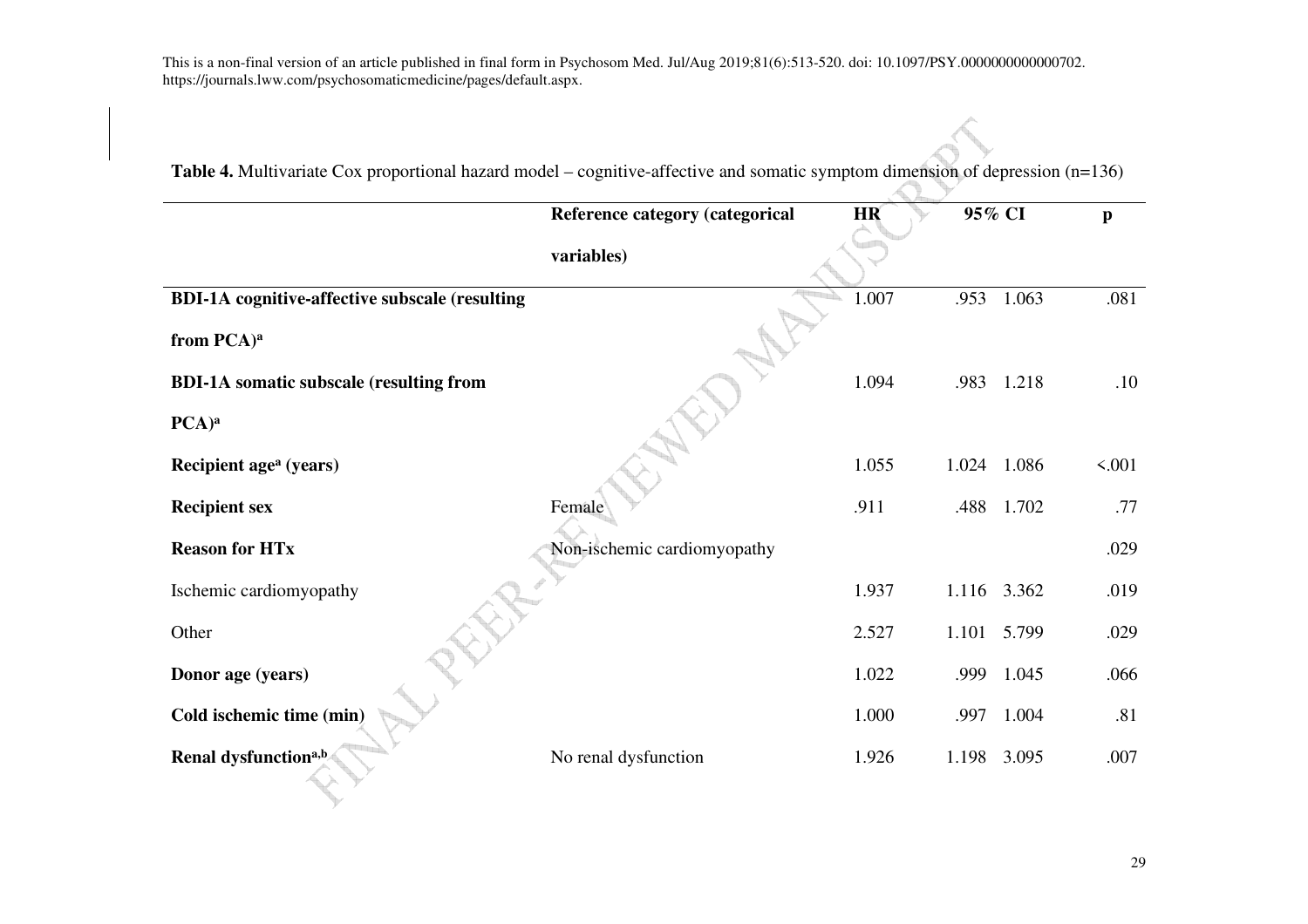|                                                       | Reference category (categorical | <b>HR</b> | 95% CI      |       | $\mathbf{p}$ |
|-------------------------------------------------------|---------------------------------|-----------|-------------|-------|--------------|
|                                                       | variables)                      |           |             |       |              |
| <b>BDI-1A</b> cognitive-affective subscale (resulting |                                 | 1.007     | .953        | 1.063 | .081         |
| from PCA) <sup>a</sup>                                |                                 |           |             |       |              |
| <b>BDI-1A</b> somatic subscale (resulting from        |                                 | 1.094     | .983        | 1.218 | .10          |
| PCA) <sup>a</sup>                                     |                                 |           |             |       |              |
| Recipient age <sup>a</sup> (years)                    |                                 | 1.055     | 1.024       | 1.086 | 5.001        |
| <b>Recipient sex</b>                                  | Female                          | .911      | .488        | 1.702 | .77          |
| <b>Reason for HTx</b>                                 | Non-ischemic cardiomyopathy     |           |             |       | .029         |
| Ischemic cardiomyopathy                               |                                 | 1.937     | 1.116 3.362 |       | .019         |
| Other                                                 |                                 | 2.527     | 1.101 5.799 |       | .029         |
| Donor age (years)                                     |                                 | 1.022     | .999        | 1.045 | .066         |
| Cold ischemic time (min)                              |                                 | 1.000     | .997        | 1.004 | .81          |
| Renal dysfunction <sup>a,b</sup>                      | No renal dysfunction            | 1.926     | 1.198       | 3.095 | .007         |

**Table 4.** Multivariate Cox proportional hazard model – cognitive-affective and somatic symptom dimension of depression (n=136)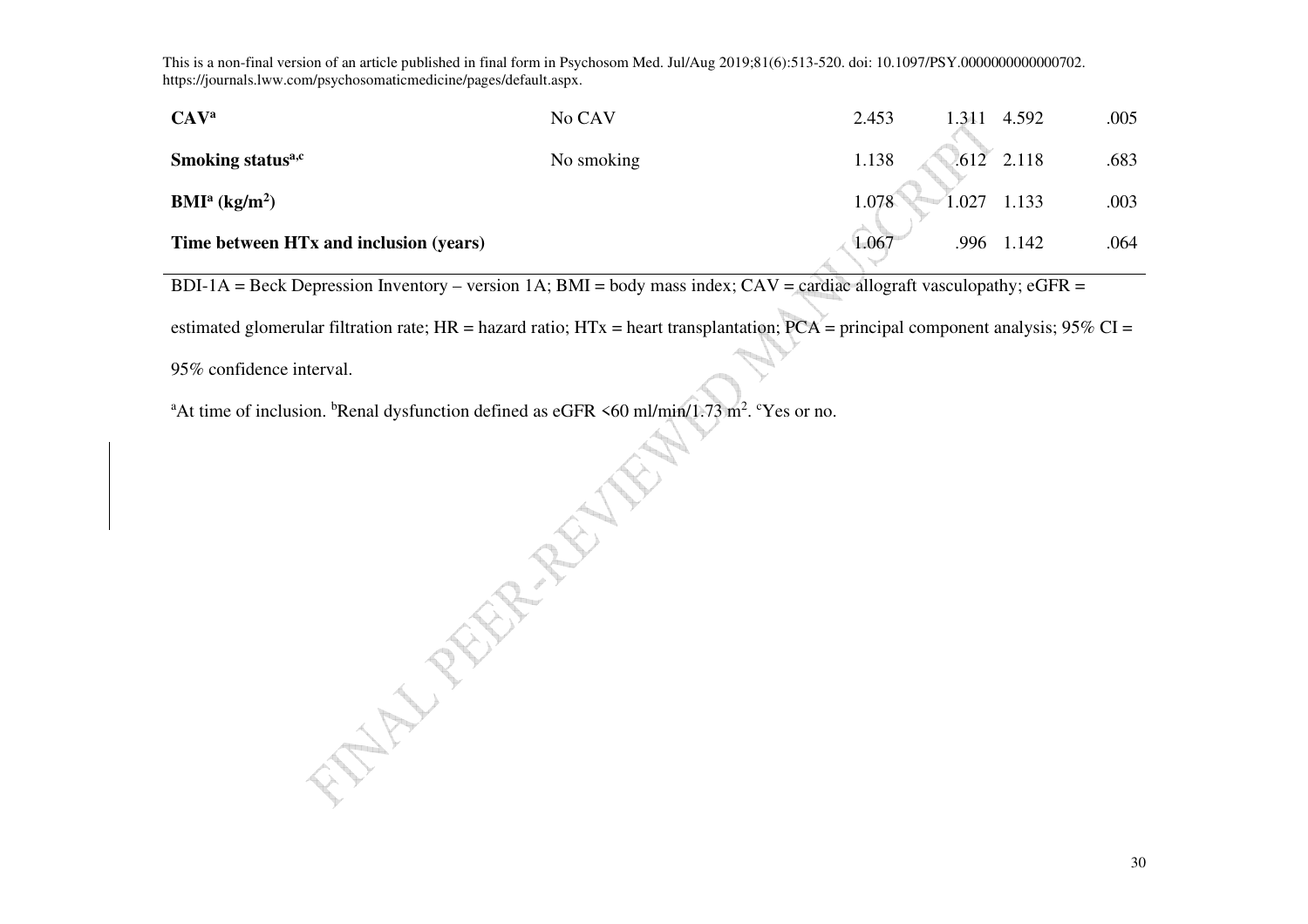| CAV <sup>a</sup>                       | No CAV     | 2.453 | 1.311 4.592 |              | .005 |
|----------------------------------------|------------|-------|-------------|--------------|------|
| Smoking status <sup>a,c</sup>          | No smoking | 1.138 |             | $.612$ 2.118 | .683 |
| BMI <sup>a</sup> (kg/m <sup>2</sup> )  |            | 1.078 | 1.027       | 1.133        | .003 |
| Time between HTx and inclusion (years) |            | 1.067 | .996        | 1.142        | .064 |

BDI-1A = Beck Depression Inventory – version 1A; BMI = body mass index;  $CAV =$  cardiac allograft vasculopathy; eGFR =

estimated glomerular filtration rate; HR = hazard ratio; HTx = heart transplantation;  $PCA$  = principal component analysis; 95% CI =

95% confidence interval.

<sup>a</sup>At time of inclusion. <sup>b</sup>Renal dysfunction defined as eGFR  $\leq 60$  ml/min/1.73 m<sup>2</sup>. <sup>c</sup>Yes or no.

A MARY REAL PROPERTY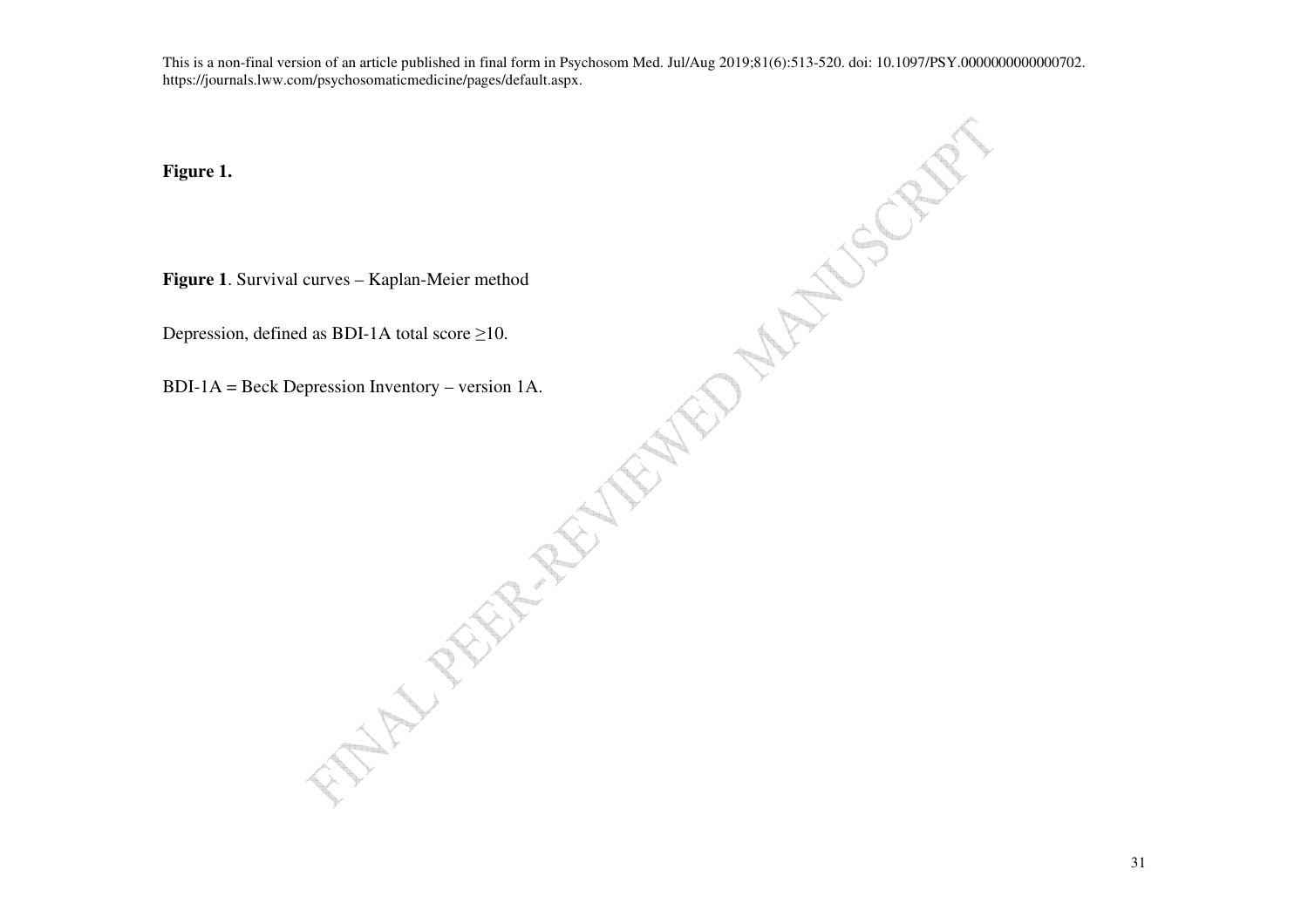**Figure 1.**

**Figure 1**. Survival curves – Kaplan-Meier method

Depression, defined as BDI-1A total score  $\geq$ 10.

BDI-1A = Beck Depression Inventory – version 1A.